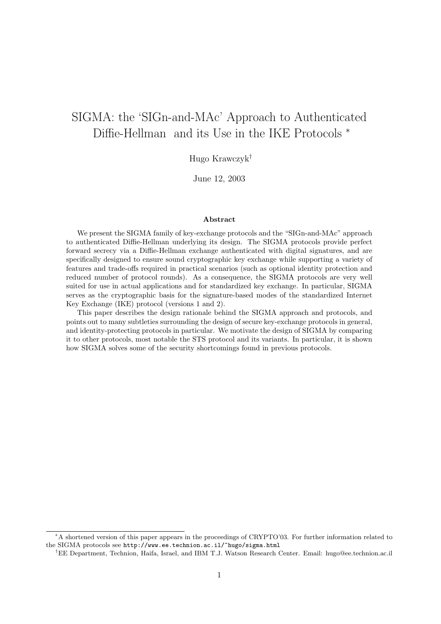# SIGMA: the 'SIGn-and-MAc' Approach to Authenticated Diffie-Hellman and its Use in the IKE Protocols <sup>∗</sup>

Hugo Krawczyk†

June 12, 2003

#### Abstract

We present the SIGMA family of key-exchange protocols and the "SIGn-and-MAc" approach to authenticated Diffie-Hellman underlying its design. The SIGMA protocols provide perfect forward secrecy via a Diffie-Hellman exchange authenticated with digital signatures, and are specifically designed to ensure sound cryptographic key exchange while supporting a variety of features and trade-offs required in practical scenarios (such as optional identity protection and reduced number of protocol rounds). As a consequence, the SIGMA protocols are very well suited for use in actual applications and for standardized key exchange. In particular, SIGMA serves as the cryptographic basis for the signature-based modes of the standardized Internet Key Exchange (IKE) protocol (versions 1 and 2).

This paper describes the design rationale behind the SIGMA approach and protocols, and points out to many subtleties surrounding the design of secure key-exchange protocols in general, and identity-protecting protocols in particular. We motivate the design of SIGMA by comparing it to other protocols, most notable the STS protocol and its variants. In particular, it is shown how SIGMA solves some of the security shortcomings found in previous protocols.

<sup>∗</sup>A shortened version of this paper appears in the proceedings of CRYPTO'03. For further information related to the SIGMA protocols see http://www.ee.technion.ac.il/~hugo/sigma.html

<sup>†</sup>EE Department, Technion, Haifa, Israel, and IBM T.J. Watson Research Center. Email: hugo@ee.technion.ac.il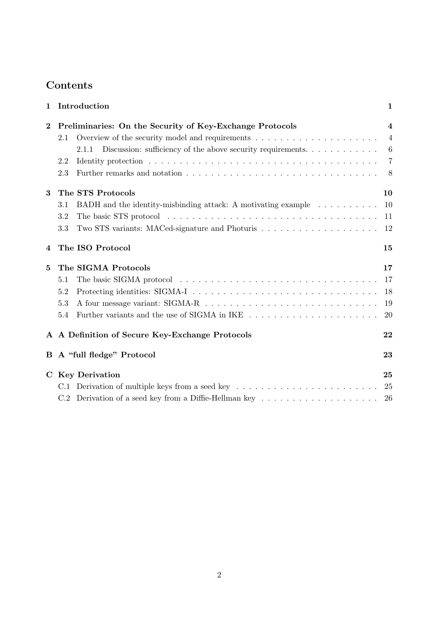## Contents

| Introduction<br>$\mathbf{1}$ |                                                                                                                                        |                |  |  |
|------------------------------|----------------------------------------------------------------------------------------------------------------------------------------|----------------|--|--|
| $\overline{2}$               | Preliminaries: On the Security of Key-Exchange Protocols                                                                               |                |  |  |
|                              | 2.1                                                                                                                                    | $\overline{4}$ |  |  |
|                              | Discussion: sufficiency of the above security requirements. $\dots \dots \dots$<br>2.1.1                                               | 6              |  |  |
|                              | 2.2                                                                                                                                    | 7              |  |  |
|                              | 2.3                                                                                                                                    | -8             |  |  |
| 3                            | The STS Protocols                                                                                                                      | 10             |  |  |
|                              | BADH and the identity-misbinding attack: A motivating example $\dots \dots \dots$<br>3.1                                               | 10             |  |  |
|                              | 3.2                                                                                                                                    | 11             |  |  |
|                              | 3.3                                                                                                                                    | 12             |  |  |
| 4                            | The ISO Protocol                                                                                                                       | 15             |  |  |
| 5                            | The SIGMA Protocols                                                                                                                    | 17             |  |  |
|                              | 5.1                                                                                                                                    | 17             |  |  |
|                              | $5.2\,$                                                                                                                                | 18             |  |  |
|                              | A four message variant: SIGMA-R $\ldots \ldots \ldots \ldots \ldots \ldots \ldots \ldots \ldots \ldots \ldots$<br>5.3                  | 19             |  |  |
|                              | Further variants and the use of SIGMA in IKE<br>5.4                                                                                    | 20             |  |  |
|                              | A A Definition of Secure Key-Exchange Protocols<br>22                                                                                  |                |  |  |
|                              | B A "full fledge" Protocol<br>23                                                                                                       |                |  |  |
|                              | <b>C</b> Key Derivation                                                                                                                | 25             |  |  |
|                              | Derivation of multiple keys from a seed key<br>$\hfill\ldots\ldots\ldots\ldots\ldots\ldots\ldots\ldots\ldots\ldots\ldots\ldots$<br>C.1 | 25             |  |  |
|                              |                                                                                                                                        | 26             |  |  |
|                              |                                                                                                                                        |                |  |  |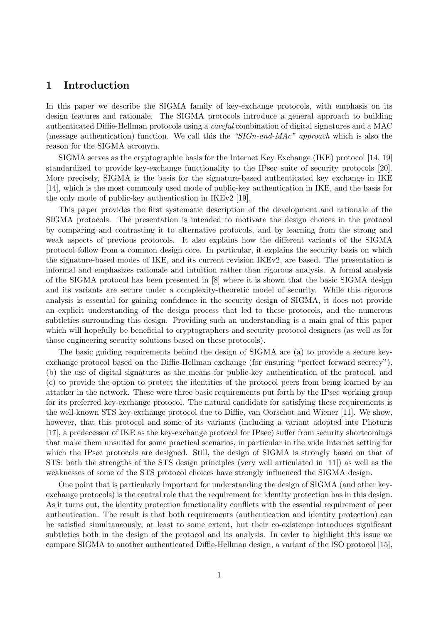### 1 Introduction

In this paper we describe the SIGMA family of key-exchange protocols, with emphasis on its design features and rationale. The SIGMA protocols introduce a general approach to building authenticated Diffie-Hellman protocols using a careful combination of digital signatures and a MAC (message authentication) function. We call this the "SIGn-and-MAc" approach which is also the reason for the SIGMA acronym.

SIGMA serves as the cryptographic basis for the Internet Key Exchange (IKE) protocol [14, 19] standardized to provide key-exchange functionality to the IPsec suite of security protocols [20]. More precisely, SIGMA is the basis for the signature-based authenticated key exchange in IKE [14], which is the most commonly used mode of public-key authentication in IKE, and the basis for the only mode of public-key authentication in IKEv2 [19].

This paper provides the first systematic description of the development and rationale of the SIGMA protocols. The presentation is intended to motivate the design choices in the protocol by comparing and contrasting it to alternative protocols, and by learning from the strong and weak aspects of previous protocols. It also explains how the different variants of the SIGMA protocol follow from a common design core. In particular, it explains the security basis on which the signature-based modes of IKE, and its current revision IKEv2, are based. The presentation is informal and emphasizes rationale and intuition rather than rigorous analysis. A formal analysis of the SIGMA protocol has been presented in [8] where it is shown that the basic SIGMA design and its variants are secure under a complexity-theoretic model of security. While this rigorous analysis is essential for gaining confidence in the security design of SIGMA, it does not provide an explicit understanding of the design process that led to these protocols, and the numerous subtleties surrounding this design. Providing such an understanding is a main goal of this paper which will hopefully be beneficial to cryptographers and security protocol designers (as well as for those engineering security solutions based on these protocols).

The basic guiding requirements behind the design of SIGMA are (a) to provide a secure keyexchange protocol based on the Diffie-Hellman exchange (for ensuring "perfect forward secrecy"), (b) the use of digital signatures as the means for public-key authentication of the protocol, and (c) to provide the option to protect the identities of the protocol peers from being learned by an attacker in the network. These were three basic requirements put forth by the IPsec working group for its preferred key-exchange protocol. The natural candidate for satisfying these requirements is the well-known STS key-exchange protocol due to Diffie, van Oorschot and Wiener [11]. We show, however, that this protocol and some of its variants (including a variant adopted into Photuris [17], a predecessor of IKE as the key-exchange protocol for IPsec) suffer from security shortcomings that make them unsuited for some practical scenarios, in particular in the wide Internet setting for which the IPsec protocols are designed. Still, the design of SIGMA is strongly based on that of STS: both the strengths of the STS design principles (very well articulated in [11]) as well as the weaknesses of some of the STS protocol choices have strongly influenced the SIGMA design.

One point that is particularly important for understanding the design of SIGMA (and other keyexchange protocols) is the central role that the requirement for identity protection has in this design. As it turns out, the identity protection functionality conflicts with the essential requirement of peer authentication. The result is that both requirements (authentication and identity protection) can be satisfied simultaneously, at least to some extent, but their co-existence introduces significant subtleties both in the design of the protocol and its analysis. In order to highlight this issue we compare SIGMA to another authenticated Diffie-Hellman design, a variant of the ISO protocol [15],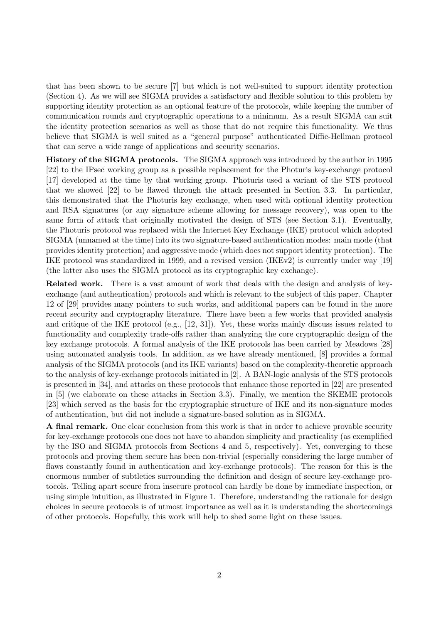that has been shown to be secure [7] but which is not well-suited to support identity protection (Section 4). As we will see SIGMA provides a satisfactory and flexible solution to this problem by supporting identity protection as an optional feature of the protocols, while keeping the number of communication rounds and cryptographic operations to a minimum. As a result SIGMA can suit the identity protection scenarios as well as those that do not require this functionality. We thus believe that SIGMA is well suited as a "general purpose" authenticated Diffie-Hellman protocol that can serve a wide range of applications and security scenarios.

History of the SIGMA protocols. The SIGMA approach was introduced by the author in 1995 [22] to the IPsec working group as a possible replacement for the Photuris key-exchange protocol [17] developed at the time by that working group. Photuris used a variant of the STS protocol that we showed [22] to be flawed through the attack presented in Section 3.3. In particular, this demonstrated that the Photuris key exchange, when used with optional identity protection and RSA signatures (or any signature scheme allowing for message recovery), was open to the same form of attack that originally motivated the design of STS (see Section 3.1). Eventually, the Photuris protocol was replaced with the Internet Key Exchange (IKE) protocol which adopted SIGMA (unnamed at the time) into its two signature-based authentication modes: main mode (that provides identity protection) and aggressive mode (which does not support identity protection). The IKE protocol was standardized in 1999, and a revised version (IKEv2) is currently under way [19] (the latter also uses the SIGMA protocol as its cryptographic key exchange).

Related work. There is a vast amount of work that deals with the design and analysis of keyexchange (and authentication) protocols and which is relevant to the subject of this paper. Chapter 12 of [29] provides many pointers to such works, and additional papers can be found in the more recent security and cryptography literature. There have been a few works that provided analysis and critique of the IKE protocol (e.g.,  $[12, 31]$ ). Yet, these works mainly discuss issues related to functionality and complexity trade-offs rather than analyzing the core cryptographic design of the key exchange protocols. A formal analysis of the IKE protocols has been carried by Meadows [28] using automated analysis tools. In addition, as we have already mentioned, [8] provides a formal analysis of the SIGMA protocols (and its IKE variants) based on the complexity-theoretic approach to the analysis of key-exchange protocols initiated in [2]. A BAN-logic analysis of the STS protocols is presented in [34], and attacks on these protocols that enhance those reported in [22] are presented in [5] (we elaborate on these attacks in Section 3.3). Finally, we mention the SKEME protocols [23] which served as the basis for the cryptographic structure of IKE and its non-signature modes of authentication, but did not include a signature-based solution as in SIGMA.

A final remark. One clear conclusion from this work is that in order to achieve provable security for key-exchange protocols one does not have to abandon simplicity and practicality (as exemplified by the ISO and SIGMA protocols from Sections 4 and 5, respectively). Yet, converging to these protocols and proving them secure has been non-trivial (especially considering the large number of flaws constantly found in authentication and key-exchange protocols). The reason for this is the enormous number of subtleties surrounding the definition and design of secure key-exchange protocols. Telling apart secure from insecure protocol can hardly be done by immediate inspection, or using simple intuition, as illustrated in Figure 1. Therefore, understanding the rationale for design choices in secure protocols is of utmost importance as well as it is understanding the shortcomings of other protocols. Hopefully, this work will help to shed some light on these issues.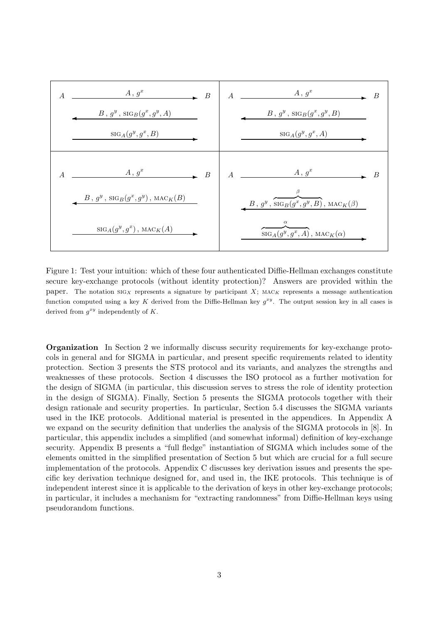

Figure 1: Test your intuition: which of these four authenticated Diffie-Hellman exchanges constitute secure key-exchange protocols (without identity protection)? Answers are provided within the paper. The notation  $\text{SIG}_X$  represents a signature by participant X; MAC<sub>K</sub> represents a message authentication function computed using a key K derived from the Diffie-Hellman key  $g^{xy}$ . The output session key in all cases is derived from  $g^{xy}$  independently of K.

Organization In Section 2 we informally discuss security requirements for key-exchange protocols in general and for SIGMA in particular, and present specific requirements related to identity protection. Section 3 presents the STS protocol and its variants, and analyzes the strengths and weaknesses of these protocols. Section 4 discusses the ISO protocol as a further motivation for the design of SIGMA (in particular, this discussion serves to stress the role of identity protection in the design of SIGMA). Finally, Section 5 presents the SIGMA protocols together with their design rationale and security properties. In particular, Section 5.4 discusses the SIGMA variants used in the IKE protocols. Additional material is presented in the appendices. In Appendix A we expand on the security definition that underlies the analysis of the SIGMA protocols in [8]. In particular, this appendix includes a simplified (and somewhat informal) definition of key-exchange security. Appendix B presents a "full fledge" instantiation of SIGMA which includes some of the elements omitted in the simplified presentation of Section 5 but which are crucial for a full secure implementation of the protocols. Appendix C discusses key derivation issues and presents the specific key derivation technique designed for, and used in, the IKE protocols. This technique is of independent interest since it is applicable to the derivation of keys in other key-exchange protocols; in particular, it includes a mechanism for "extracting randomness" from Diffie-Hellman keys using pseudorandom functions.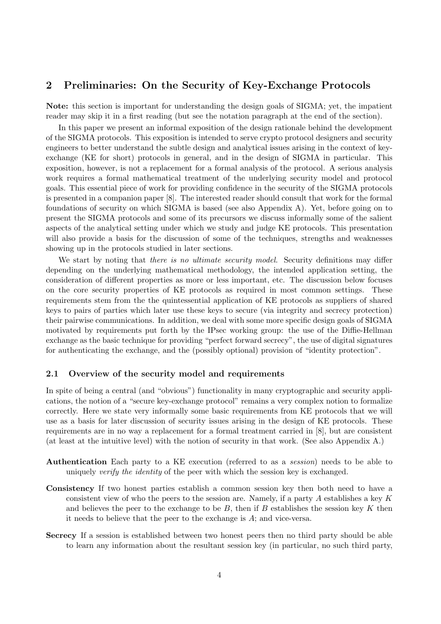### 2 Preliminaries: On the Security of Key-Exchange Protocols

Note: this section is important for understanding the design goals of SIGMA; yet, the impatient reader may skip it in a first reading (but see the notation paragraph at the end of the section).

In this paper we present an informal exposition of the design rationale behind the development of the SIGMA protocols. This exposition is intended to serve crypto protocol designers and security engineers to better understand the subtle design and analytical issues arising in the context of keyexchange (KE for short) protocols in general, and in the design of SIGMA in particular. This exposition, however, is not a replacement for a formal analysis of the protocol. A serious analysis work requires a formal mathematical treatment of the underlying security model and protocol goals. This essential piece of work for providing confidence in the security of the SIGMA protocols is presented in a companion paper [8]. The interested reader should consult that work for the formal foundations of security on which SIGMA is based (see also Appendix A). Yet, before going on to present the SIGMA protocols and some of its precursors we discuss informally some of the salient aspects of the analytical setting under which we study and judge KE protocols. This presentation will also provide a basis for the discussion of some of the techniques, strengths and weaknesses showing up in the protocols studied in later sections.

We start by noting that *there is no ultimate security model*. Security definitions may differ depending on the underlying mathematical methodology, the intended application setting, the consideration of different properties as more or less important, etc. The discussion below focuses on the core security properties of KE protocols as required in most common settings. These requirements stem from the the quintessential application of KE protocols as suppliers of shared keys to pairs of parties which later use these keys to secure (via integrity and secrecy protection) their pairwise communications. In addition, we deal with some more specific design goals of SIGMA motivated by requirements put forth by the IPsec working group: the use of the Diffie-Hellman exchange as the basic technique for providing "perfect forward secrecy", the use of digital signatures for authenticating the exchange, and the (possibly optional) provision of "identity protection".

### 2.1 Overview of the security model and requirements

In spite of being a central (and "obvious") functionality in many cryptographic and security applications, the notion of a "secure key-exchange protocol" remains a very complex notion to formalize correctly. Here we state very informally some basic requirements from KE protocols that we will use as a basis for later discussion of security issues arising in the design of KE protocols. These requirements are in no way a replacement for a formal treatment carried in [8], but are consistent (at least at the intuitive level) with the notion of security in that work. (See also Appendix A.)

- Authentication Each party to a KE execution (referred to as a session) needs to be able to uniquely verify the identity of the peer with which the session key is exchanged.
- Consistency If two honest parties establish a common session key then both need to have a consistent view of who the peers to the session are. Namely, if a party  $A$  establishes a key  $K$ and believes the peer to the exchange to be  $B$ , then if  $B$  establishes the session key  $K$  then it needs to believe that the peer to the exchange is A; and vice-versa.
- Secrecy If a session is established between two honest peers then no third party should be able to learn any information about the resultant session key (in particular, no such third party,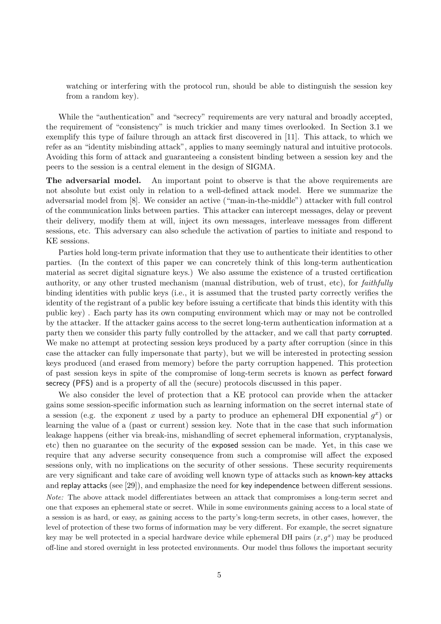watching or interfering with the protocol run, should be able to distinguish the session key from a random key).

While the "authentication" and "secrecy" requirements are very natural and broadly accepted, the requirement of "consistency" is much trickier and many times overlooked. In Section 3.1 we exemplify this type of failure through an attack first discovered in [11]. This attack, to which we refer as an "identity misbinding attack", applies to many seemingly natural and intuitive protocols. Avoiding this form of attack and guaranteeing a consistent binding between a session key and the peers to the session is a central element in the design of SIGMA.

The adversarial model. An important point to observe is that the above requirements are not absolute but exist only in relation to a well-defined attack model. Here we summarize the adversarial model from [8]. We consider an active ("man-in-the-middle") attacker with full control of the communication links between parties. This attacker can intercept messages, delay or prevent their delivery, modify them at will, inject its own messages, interleave messages from different sessions, etc. This adversary can also schedule the activation of parties to initiate and respond to KE sessions.

Parties hold long-term private information that they use to authenticate their identities to other parties. (In the context of this paper we can concretely think of this long-term authentication material as secret digital signature keys.) We also assume the existence of a trusted certification authority, or any other trusted mechanism (manual distribution, web of trust, etc), for faithfully binding identities with public keys (i.e., it is assumed that the trusted party correctly verifies the identity of the registrant of a public key before issuing a certificate that binds this identity with this public key) . Each party has its own computing environment which may or may not be controlled by the attacker. If the attacker gains access to the secret long-term authentication information at a party then we consider this party fully controlled by the attacker, and we call that party corrupted. We make no attempt at protecting session keys produced by a party after corruption (since in this case the attacker can fully impersonate that party), but we will be interested in protecting session keys produced (and erased from memory) before the party corruption happened. This protection of past session keys in spite of the compromise of long-term secrets is known as perfect forward secrecy (PFS) and is a property of all the (secure) protocols discussed in this paper.

We also consider the level of protection that a KE protocol can provide when the attacker gains some session-specific information such as learning information on the secret internal state of a session (e.g. the exponent x used by a party to produce an ephemeral DH exponential  $g^x$ ) or learning the value of a (past or current) session key. Note that in the case that such information leakage happens (either via break-ins, mishandling of secret ephemeral information, cryptanalysis, etc) then no guarantee on the security of the exposed session can be made. Yet, in this case we require that any adverse security consequence from such a compromise will affect the exposed sessions only, with no implications on the security of other sessions. These security requirements are very significant and take care of avoiding well known type of attacks such as known-key attacks and replay attacks (see [29]), and emphasize the need for key independence between different sessions. Note: The above attack model differentiates between an attack that compromises a long-term secret and one that exposes an ephemeral state or secret. While in some environments gaining access to a local state of a session is as hard, or easy, as gaining access to the party's long-term secrets, in other cases, however, the level of protection of these two forms of information may be very different. For example, the secret signature key may be well protected in a special hardware device while ephemeral DH pairs  $(x, g^x)$  may be produced off-line and stored overnight in less protected environments. Our model thus follows the important security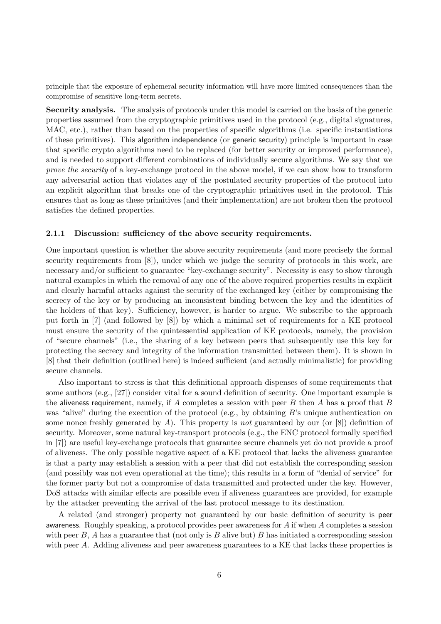principle that the exposure of ephemeral security information will have more limited consequences than the compromise of sensitive long-term secrets.

Security analysis. The analysis of protocols under this model is carried on the basis of the generic properties assumed from the cryptographic primitives used in the protocol (e.g., digital signatures, MAC, etc.), rather than based on the properties of specific algorithms (i.e. specific instantiations of these primitives). This algorithm independence (or generic security) principle is important in case that specific crypto algorithms need to be replaced (for better security or improved performance), and is needed to support different combinations of individually secure algorithms. We say that we prove the security of a key-exchange protocol in the above model, if we can show how to transform any adversarial action that violates any of the postulated security properties of the protocol into an explicit algorithm that breaks one of the cryptographic primitives used in the protocol. This ensures that as long as these primitives (and their implementation) are not broken then the protocol satisfies the defined properties.

#### 2.1.1 Discussion: sufficiency of the above security requirements.

One important question is whether the above security requirements (and more precisely the formal security requirements from [8]), under which we judge the security of protocols in this work, are necessary and/or sufficient to guarantee "key-exchange security". Necessity is easy to show through natural examples in which the removal of any one of the above required properties results in explicit and clearly harmful attacks against the security of the exchanged key (either by compromising the secrecy of the key or by producing an inconsistent binding between the key and the identities of the holders of that key). Sufficiency, however, is harder to argue. We subscribe to the approach put forth in [7] (and followed by [8]) by which a minimal set of requirements for a KE protocol must ensure the security of the quintessential application of KE protocols, namely, the provision of "secure channels" (i.e., the sharing of a key between peers that subsequently use this key for protecting the secrecy and integrity of the information transmitted between them). It is shown in [8] that their definition (outlined here) is indeed sufficient (and actually minimalistic) for providing secure channels.

Also important to stress is that this definitional approach dispenses of some requirements that some authors (e.g., [27]) consider vital for a sound definition of security. One important example is the aliveness requirement, namely, if A completes a session with peer B then A has a proof that B was "alive" during the execution of the protocol (e.g., by obtaining B's unique authentication on some nonce freshly generated by A). This property is not guaranteed by our (or  $[8]$ ) definition of security. Moreover, some natural key-transport protocols (e.g., the ENC protocol formally specified in [7]) are useful key-exchange protocols that guarantee secure channels yet do not provide a proof of aliveness. The only possible negative aspect of a KE protocol that lacks the aliveness guarantee is that a party may establish a session with a peer that did not establish the corresponding session (and possibly was not even operational at the time); this results in a form of "denial of service" for the former party but not a compromise of data transmitted and protected under the key. However, DoS attacks with similar effects are possible even if aliveness guarantees are provided, for example by the attacker preventing the arrival of the last protocol message to its destination.

A related (and stronger) property not guaranteed by our basic definition of security is peer awareness. Roughly speaking, a protocol provides peer awareness for A if when A completes a session with peer  $B$ ,  $A$  has a guarantee that (not only is  $B$  alive but)  $B$  has initiated a corresponding session with peer A. Adding aliveness and peer awareness guarantees to a KE that lacks these properties is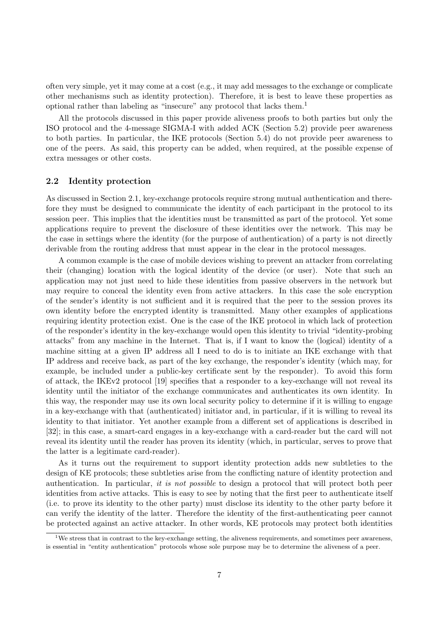often very simple, yet it may come at a cost (e.g., it may add messages to the exchange or complicate other mechanisms such as identity protection). Therefore, it is best to leave these properties as optional rather than labeling as "insecure" any protocol that lacks them.<sup>1</sup>

All the protocols discussed in this paper provide aliveness proofs to both parties but only the ISO protocol and the 4-message SIGMA-I with added ACK (Section 5.2) provide peer awareness to both parties. In particular, the IKE protocols (Section 5.4) do not provide peer awareness to one of the peers. As said, this property can be added, when required, at the possible expense of extra messages or other costs.

### 2.2 Identity protection

As discussed in Section 2.1, key-exchange protocols require strong mutual authentication and therefore they must be designed to communicate the identity of each participant in the protocol to its session peer. This implies that the identities must be transmitted as part of the protocol. Yet some applications require to prevent the disclosure of these identities over the network. This may be the case in settings where the identity (for the purpose of authentication) of a party is not directly derivable from the routing address that must appear in the clear in the protocol messages.

A common example is the case of mobile devices wishing to prevent an attacker from correlating their (changing) location with the logical identity of the device (or user). Note that such an application may not just need to hide these identities from passive observers in the network but may require to conceal the identity even from active attackers. In this case the sole encryption of the sender's identity is not sufficient and it is required that the peer to the session proves its own identity before the encrypted identity is transmitted. Many other examples of applications requiring identity protection exist. One is the case of the IKE protocol in which lack of protection of the responder's identity in the key-exchange would open this identity to trivial "identity-probing attacks" from any machine in the Internet. That is, if I want to know the (logical) identity of a machine sitting at a given IP address all I need to do is to initiate an IKE exchange with that IP address and receive back, as part of the key exchange, the responder's identity (which may, for example, be included under a public-key certificate sent by the responder). To avoid this form of attack, the IKEv2 protocol [19] specifies that a responder to a key-exchange will not reveal its identity until the initiator of the exchange communicates and authenticates its own identity. In this way, the responder may use its own local security policy to determine if it is willing to engage in a key-exchange with that (authenticated) initiator and, in particular, if it is willing to reveal its identity to that initiator. Yet another example from a different set of applications is described in [32]; in this case, a smart-card engages in a key-exchange with a card-reader but the card will not reveal its identity until the reader has proven its identity (which, in particular, serves to prove that the latter is a legitimate card-reader).

As it turns out the requirement to support identity protection adds new subtleties to the design of KE protocols; these subtleties arise from the conflicting nature of identity protection and authentication. In particular, it is not possible to design a protocol that will protect both peer identities from active attacks. This is easy to see by noting that the first peer to authenticate itself (i.e. to prove its identity to the other party) must disclose its identity to the other party before it can verify the identity of the latter. Therefore the identity of the first-authenticating peer cannot be protected against an active attacker. In other words, KE protocols may protect both identities

 $1$ We stress that in contrast to the key-exchange setting, the aliveness requirements, and sometimes peer awareness, is essential in "entity authentication" protocols whose sole purpose may be to determine the aliveness of a peer.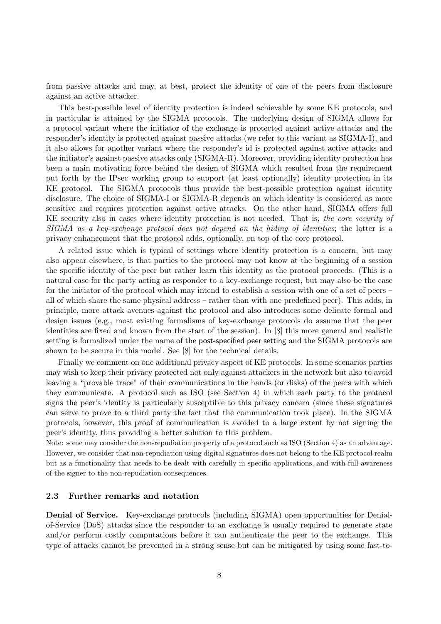from passive attacks and may, at best, protect the identity of one of the peers from disclosure against an active attacker.

This best-possible level of identity protection is indeed achievable by some KE protocols, and in particular is attained by the SIGMA protocols. The underlying design of SIGMA allows for a protocol variant where the initiator of the exchange is protected against active attacks and the responder's identity is protected against passive attacks (we refer to this variant as SIGMA-I), and it also allows for another variant where the responder's id is protected against active attacks and the initiator's against passive attacks only (SIGMA-R). Moreover, providing identity protection has been a main motivating force behind the design of SIGMA which resulted from the requirement put forth by the IPsec working group to support (at least optionally) identity protection in its KE protocol. The SIGMA protocols thus provide the best-possible protection against identity disclosure. The choice of SIGMA-I or SIGMA-R depends on which identity is considered as more sensitive and requires protection against active attacks. On the other hand, SIGMA offers full KE security also in cases where identity protection is not needed. That is, the core security of SIGMA as a key-exchange protocol does not depend on the hiding of identities; the latter is a privacy enhancement that the protocol adds, optionally, on top of the core protocol.

A related issue which is typical of settings where identity protection is a concern, but may also appear elsewhere, is that parties to the protocol may not know at the beginning of a session the specific identity of the peer but rather learn this identity as the protocol proceeds. (This is a natural case for the party acting as responder to a key-exchange request, but may also be the case for the initiator of the protocol which may intend to establish a session with one of a set of peers – all of which share the same physical address – rather than with one predefined peer). This adds, in principle, more attack avenues against the protocol and also introduces some delicate formal and design issues (e.g., most existing formalisms of key-exchange protocols do assume that the peer identities are fixed and known from the start of the session). In [8] this more general and realistic setting is formalized under the name of the post-specified peer setting and the SIGMA protocols are shown to be secure in this model. See [8] for the technical details.

Finally we comment on one additional privacy aspect of KE protocols. In some scenarios parties may wish to keep their privacy protected not only against attackers in the network but also to avoid leaving a "provable trace" of their communications in the hands (or disks) of the peers with which they communicate. A protocol such as ISO (see Section 4) in which each party to the protocol signs the peer's identity is particularly susceptible to this privacy concern (since these signatures can serve to prove to a third party the fact that the communication took place). In the SIGMA protocols, however, this proof of communication is avoided to a large extent by not signing the peer's identity, thus providing a better solution to this problem.

Note: some may consider the non-repudiation property of a protocol such as ISO (Section 4) as an advantage. However, we consider that non-repudiation using digital signatures does not belong to the KE protocol realm but as a functionality that needs to be dealt with carefully in specific applications, and with full awareness of the signer to the non-repudiation consequences.

#### 2.3 Further remarks and notation

Denial of Service. Key-exchange protocols (including SIGMA) open opportunities for Denialof-Service (DoS) attacks since the responder to an exchange is usually required to generate state and/or perform costly computations before it can authenticate the peer to the exchange. This type of attacks cannot be prevented in a strong sense but can be mitigated by using some fast-to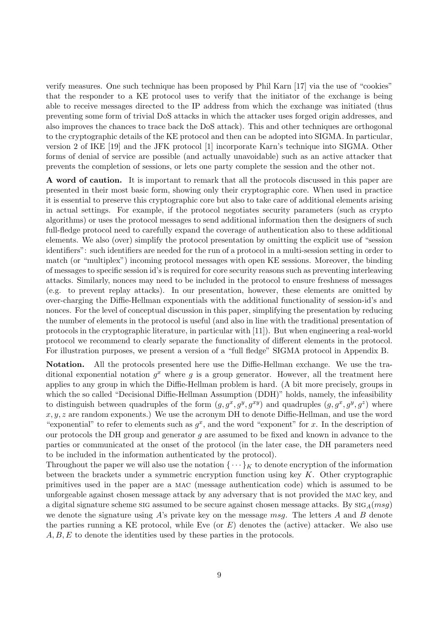verify measures. One such technique has been proposed by Phil Karn [17] via the use of "cookies" that the responder to a KE protocol uses to verify that the initiator of the exchange is being able to receive messages directed to the IP address from which the exchange was initiated (thus preventing some form of trivial DoS attacks in which the attacker uses forged origin addresses, and also improves the chances to trace back the DoS attack). This and other techniques are orthogonal to the cryptographic details of the KE protocol and then can be adopted into SIGMA. In particular, version 2 of IKE [19] and the JFK protocol [1] incorporate Karn's technique into SIGMA. Other forms of denial of service are possible (and actually unavoidable) such as an active attacker that prevents the completion of sessions, or lets one party complete the session and the other not.

A word of caution. It is important to remark that all the protocols discussed in this paper are presented in their most basic form, showing only their cryptographic core. When used in practice it is essential to preserve this cryptographic core but also to take care of additional elements arising in actual settings. For example, if the protocol negotiates security parameters (such as crypto algorithms) or uses the protocol messages to send additional information then the designers of such full-fledge protocol need to carefully expand the coverage of authentication also to these additional elements. We also (over) simplify the protocol presentation by omitting the explicit use of "session identifiers": such identifiers are needed for the run of a protocol in a multi-session setting in order to match (or "multiplex") incoming protocol messages with open KE sessions. Moreover, the binding of messages to specific session id's is required for core security reasons such as preventing interleaving attacks. Similarly, nonces may need to be included in the protocol to ensure freshness of messages (e.g. to prevent replay attacks). In our presentation, however, these elements are omitted by over-charging the Diffie-Hellman exponentials with the additional functionality of session-id's and nonces. For the level of conceptual discussion in this paper, simplifying the presentation by reducing the number of elements in the protocol is useful (and also in line with the traditional presentation of protocols in the cryptographic literature, in particular with [11]). But when engineering a real-world protocol we recommend to clearly separate the functionality of different elements in the protocol. For illustration purposes, we present a version of a "full fledge" SIGMA protocol in Appendix B.

Notation. All the protocols presented here use the Diffie-Hellman exchange. We use the traditional exponential notation  $g^x$  where g is a group generator. However, all the treatment here applies to any group in which the Diffie-Hellman problem is hard. (A bit more precisely, groups in which the so called "Decisional Diffie-Hellman Assumption (DDH)" holds, namely, the infeasibility to distinguish between quadruples of the form  $(g, g^x, g^y, g^{xy})$  and quadruples  $(g, g^x, g^y, g^z)$  where  $x, y, z$  are random exponents.) We use the acronym DH to denote Diffie-Hellman, and use the word "exponential" to refer to elements such as  $g^x$ , and the word "exponent" for x. In the description of our protocols the DH group and generator  $q$  are assumed to be fixed and known in advance to the parties or communicated at the onset of the protocol (in the later case, the DH parameters need to be included in the information authenticated by the protocol).

Throughout the paper we will also use the notation  $\{\cdots\}_K$  to denote encryption of the information between the brackets under a symmetric encryption function using key K. Other cryptographic primitives used in the paper are a mac (message authentication code) which is assumed to be unforgeable against chosen message attack by any adversary that is not provided the mac key, and a digital signature scheme signature scheme signature against chosen message attacks. By  $\text{SiG}_A(msg)$ we denote the signature using A's private key on the message  $msg$ . The letters A and B denote the parties running a KE protocol, while Eve (or  $E$ ) denotes the (active) attacker. We also use  $A, B, E$  to denote the identities used by these parties in the protocols.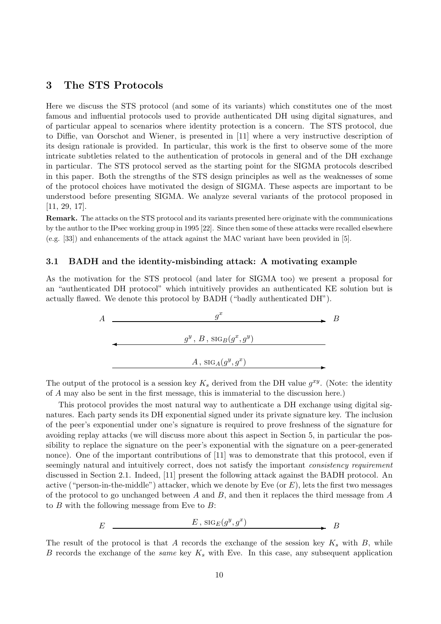### 3 The STS Protocols

Here we discuss the STS protocol (and some of its variants) which constitutes one of the most famous and influential protocols used to provide authenticated DH using digital signatures, and of particular appeal to scenarios where identity protection is a concern. The STS protocol, due to Diffie, van Oorschot and Wiener, is presented in [11] where a very instructive description of its design rationale is provided. In particular, this work is the first to observe some of the more intricate subtleties related to the authentication of protocols in general and of the DH exchange in particular. The STS protocol served as the starting point for the SIGMA protocols described in this paper. Both the strengths of the STS design principles as well as the weaknesses of some of the protocol choices have motivated the design of SIGMA. These aspects are important to be understood before presenting SIGMA. We analyze several variants of the protocol proposed in [11, 29, 17].

Remark. The attacks on the STS protocol and its variants presented here originate with the communications by the author to the IPsec working group in 1995 [22]. Since then some of these attacks were recalled elsewhere (e.g. [33]) and enhancements of the attack against the MAC variant have been provided in [5].

#### 3.1 BADH and the identity-misbinding attack: A motivating example

As the motivation for the STS protocol (and later for SIGMA too) we present a proposal for an "authenticated DH protocol" which intuitively provides an authenticated KE solution but is actually flawed. We denote this protocol by BADH ("badly authenticated DH").



The output of the protocol is a session key  $K_s$  derived from the DH value  $g^{xy}$ . (Note: the identity of A may also be sent in the first message, this is immaterial to the discussion here.)

This protocol provides the most natural way to authenticate a DH exchange using digital signatures. Each party sends its DH exponential signed under its private signature key. The inclusion of the peer's exponential under one's signature is required to prove freshness of the signature for avoiding replay attacks (we will discuss more about this aspect in Section 5, in particular the possibility to replace the signature on the peer's exponential with the signature on a peer-generated nonce). One of the important contributions of [11] was to demonstrate that this protocol, even if seemingly natural and intuitively correct, does not satisfy the important *consistency requirement* discussed in Section 2.1. Indeed, [11] present the following attack against the BADH protocol. An active ("person-in-the-middle") attacker, which we denote by Eve (or  $E$ ), lets the first two messages of the protocol to go unchanged between A and B, and then it replaces the third message from A to  $B$  with the following message from Eve to  $B$ :

$$
E \xrightarrow{E, \, \text{SIG}_E(g^y, g^x)} \qquad B
$$

The result of the protocol is that A records the exchange of the session key  $K_s$  with B, while B records the exchange of the *same* key  $K_s$  with Eve. In this case, any subsequent application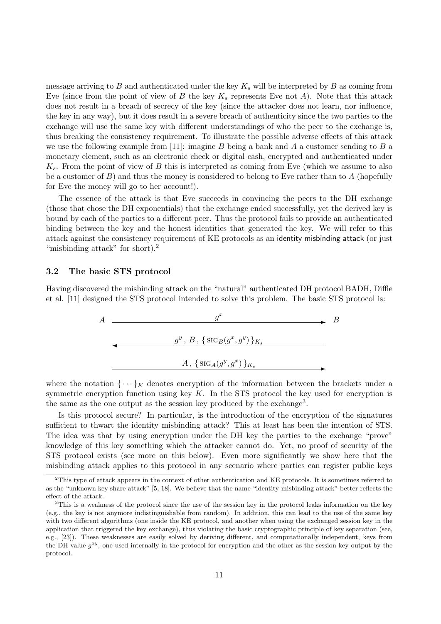message arriving to B and authenticated under the key  $K_s$  will be interpreted by B as coming from Eve (since from the point of view of B the key  $K_s$  represents Eve not A). Note that this attack does not result in a breach of secrecy of the key (since the attacker does not learn, nor influence, the key in any way), but it does result in a severe breach of authenticity since the two parties to the exchange will use the same key with different understandings of who the peer to the exchange is, thus breaking the consistency requirement. To illustrate the possible adverse effects of this attack we use the following example from [11]: imagine B being a bank and A a customer sending to B a monetary element, such as an electronic check or digital cash, encrypted and authenticated under  $K_s$ . From the point of view of B this is interpreted as coming from Eve (which we assume to also be a customer of  $B$ ) and thus the money is considered to belong to Eve rather than to  $A$  (hopefully for Eve the money will go to her account!).

The essence of the attack is that Eve succeeds in convincing the peers to the DH exchange (those that chose the DH exponentials) that the exchange ended successfully, yet the derived key is bound by each of the parties to a different peer. Thus the protocol fails to provide an authenticated binding between the key and the honest identities that generated the key. We will refer to this attack against the consistency requirement of KE protocols as an identity misbinding attack (or just "misbinding attack" for short).<sup>2</sup>

### 3.2 The basic STS protocol

Having discovered the misbinding attack on the "natural" authenticated DH protocol BADH, Diffie et al. [11] designed the STS protocol intended to solve this problem. The basic STS protocol is:



where the notation  $\{\cdots\}_K$  denotes encryption of the information between the brackets under a symmetric encryption function using key  $K$ . In the STS protocol the key used for encryption is the same as the one output as the session key produced by the exchange<sup>3</sup>.

Is this protocol secure? In particular, is the introduction of the encryption of the signatures sufficient to thwart the identity misbinding attack? This at least has been the intention of STS. The idea was that by using encryption under the DH key the parties to the exchange "prove" knowledge of this key something which the attacker cannot do. Yet, no proof of security of the STS protocol exists (see more on this below). Even more significantly we show here that the misbinding attack applies to this protocol in any scenario where parties can register public keys

<sup>&</sup>lt;sup>2</sup>This type of attack appears in the context of other authentication and KE protocols. It is sometimes referred to as the "unknown key share attack" [5, 18]. We believe that the name "identity-misbinding attack" better reflects the effect of the attack.

<sup>&</sup>lt;sup>3</sup>This is a weakness of the protocol since the use of the session key in the protocol leaks information on the key (e.g., the key is not anymore indistinguishable from random). In addition, this can lead to the use of the same key with two different algorithms (one inside the KE protocol, and another when using the exchanged session key in the application that triggered the key exchange), thus violating the basic cryptographic principle of key separation (see, e.g., [23]). These weaknesses are easily solved by deriving different, and computationally independent, keys from the DH value  $g^{xy}$ , one used internally in the protocol for encryption and the other as the session key output by the protocol.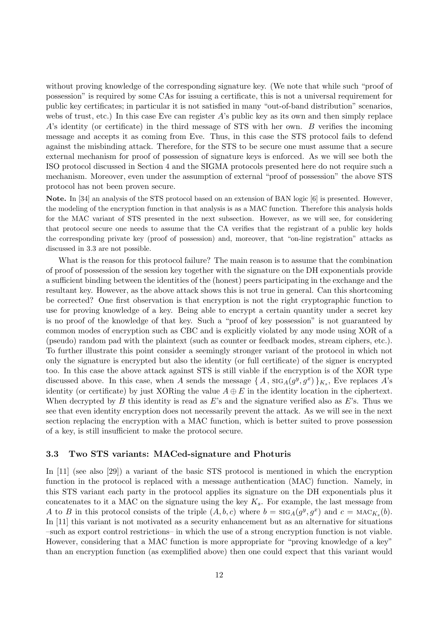without proving knowledge of the corresponding signature key. (We note that while such "proof of possession" is required by some CAs for issuing a certificate, this is not a universal requirement for public key certificates; in particular it is not satisfied in many "out-of-band distribution" scenarios, webs of trust, etc.) In this case Eve can register  $A$ 's public key as its own and then simply replace A's identity (or certificate) in the third message of STS with her own. B verifies the incoming message and accepts it as coming from Eve. Thus, in this case the STS protocol fails to defend against the misbinding attack. Therefore, for the STS to be secure one must assume that a secure external mechanism for proof of possession of signature keys is enforced. As we will see both the ISO protocol discussed in Section 4 and the SIGMA protocols presented here do not require such a mechanism. Moreover, even under the assumption of external "proof of possession" the above STS protocol has not been proven secure.

Note. In [34] an analysis of the STS protocol based on an extension of BAN logic [6] is presented. However, the modeling of the encryption function in that analysis is as a MAC function. Therefore this analysis holds for the MAC variant of STS presented in the next subsection. However, as we will see, for considering that protocol secure one needs to assume that the CA verifies that the registrant of a public key holds the corresponding private key (proof of possession) and, moreover, that "on-line registration" attacks as discussed in 3.3 are not possible.

What is the reason for this protocol failure? The main reason is to assume that the combination of proof of possession of the session key together with the signature on the DH exponentials provide a sufficient binding between the identities of the (honest) peers participating in the exchange and the resultant key. However, as the above attack shows this is not true in general. Can this shortcoming be corrected? One first observation is that encryption is not the right cryptographic function to use for proving knowledge of a key. Being able to encrypt a certain quantity under a secret key is no proof of the knowledge of that key. Such a "proof of key possession" is not guaranteed by common modes of encryption such as CBC and is explicitly violated by any mode using XOR of a (pseudo) random pad with the plaintext (such as counter or feedback modes, stream ciphers, etc.). To further illustrate this point consider a seemingly stronger variant of the protocol in which not only the signature is encrypted but also the identity (or full certificate) of the signer is encrypted too. In this case the above attack against STS is still viable if the encryption is of the XOR type discussed above. In this case, when A sends the message  $\{A, \operatorname{SIG}_A(g^y, g^x)\}_{K_s}$ , Eve replaces A's identity (or certificate) by just XORing the value  $A \oplus E$  in the identity location in the ciphertext. When decrypted by  $B$  this identity is read as  $E$ 's and the signature verified also as  $E$ 's. Thus we see that even identity encryption does not necessarily prevent the attack. As we will see in the next section replacing the encryption with a MAC function, which is better suited to prove possession of a key, is still insufficient to make the protocol secure.

#### 3.3 Two STS variants: MACed-signature and Photuris

In [11] (see also [29]) a variant of the basic STS protocol is mentioned in which the encryption function in the protocol is replaced with a message authentication (MAC) function. Namely, in this STS variant each party in the protocol applies its signature on the DH exponentials plus it concatenates to it a MAC on the signature using the key  $K_s$ . For example, the last message from A to B in this protocol consists of the triple  $(A, b, c)$  where  $b = \text{SIG}_A(g^y, g^x)$  and  $c = \text{MAC}_{K_s}(b)$ . In [11] this variant is not motivated as a security enhancement but as an alternative for situations –such as export control restrictions– in which the use of a strong encryption function is not viable. However, considering that a MAC function is more appropriate for "proving knowledge of a key" than an encryption function (as exemplified above) then one could expect that this variant would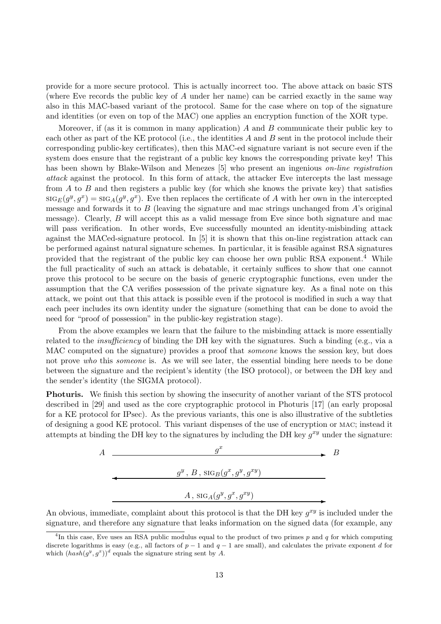provide for a more secure protocol. This is actually incorrect too. The above attack on basic STS (where Eve records the public key of A under her name) can be carried exactly in the same way also in this MAC-based variant of the protocol. Same for the case where on top of the signature and identities (or even on top of the MAC) one applies an encryption function of the XOR type.

Moreover, if (as it is common in many application)  $A$  and  $B$  communicate their public key to each other as part of the KE protocol (i.e., the identities  $A$  and  $B$  sent in the protocol include their corresponding public-key certificates), then this MAC-ed signature variant is not secure even if the system does ensure that the registrant of a public key knows the corresponding private key! This has been shown by Blake-Wilson and Menezes [5] who present an ingenious *on-line registration* attack against the protocol. In this form of attack, the attacker Eve intercepts the last message from  $A$  to  $B$  and then registers a public key (for which she knows the private key) that satisfies  $\operatorname{SIG}_E(g^y, g^x) = \operatorname{SIG}_A(g^y, g^x)$ . Eve then replaces the certificate of A with her own in the intercepted message and forwards it to  $B$  (leaving the signature and mac strings unchanged from  $A$ 's original message). Clearly, B will accept this as a valid message from Eve since both signature and mac will pass verification. In other words, Eve successfully mounted an identity-misbinding attack against the MACed-signature protocol. In [5] it is shown that this on-line registration attack can be performed against natural signature schemes. In particular, it is feasible against RSA signatures provided that the registrant of the public key can choose her own public RSA exponent.<sup>4</sup> While the full practicality of such an attack is debatable, it certainly suffices to show that one cannot prove this protocol to be secure on the basis of generic cryptographic functions, even under the assumption that the CA verifies possession of the private signature key. As a final note on this attack, we point out that this attack is possible even if the protocol is modified in such a way that each peer includes its own identity under the signature (something that can be done to avoid the need for "proof of possession" in the public-key registration stage).

From the above examples we learn that the failure to the misbinding attack is more essentially related to the *insufficiency* of binding the DH key with the signatures. Such a binding (e.g., via a MAC computed on the signature) provides a proof that *someone* knows the session key, but does not prove who this someone is. As we will see later, the essential binding here needs to be done between the signature and the recipient's identity (the ISO protocol), or between the DH key and the sender's identity (the SIGMA protocol).

Photuris. We finish this section by showing the insecurity of another variant of the STS protocol described in [29] and used as the core cryptographic protocol in Photuris [17] (an early proposal for a KE protocol for IPsec). As the previous variants, this one is also illustrative of the subtleties of designing a good KE protocol. This variant dispenses of the use of encryption or mac; instead it attempts at binding the DH key to the signatures by including the DH key  $g^{xy}$  under the signature:



An obvious, immediate, complaint about this protocol is that the DH key  $g^{xy}$  is included under the signature, and therefore any signature that leaks information on the signed data (for example, any

<sup>&</sup>lt;sup>4</sup>In this case, Eve uses an RSA public modulus equal to the product of two primes p and q for which computing discrete logarithms is easy (e.g., all factors of  $p - 1$  and  $q - 1$  are small), and calculates the private exponent d for which  $(hash(g^y, g^x))$ <sup>d</sup> equals the signature string sent by A.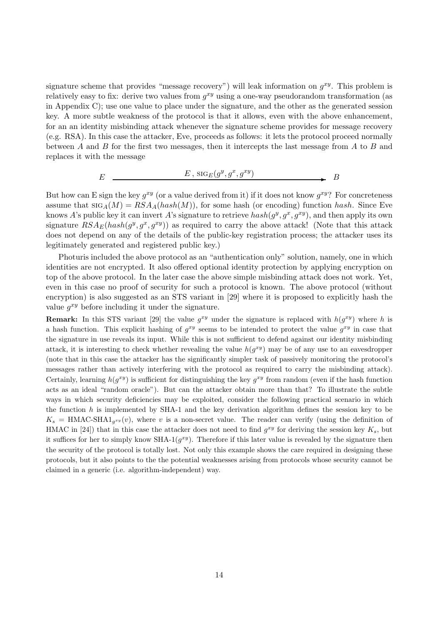signature scheme that provides "message recovery") will leak information on  $g^{xy}$ . This problem is relatively easy to fix: derive two values from  $g^{xy}$  using a one-way pseudorandom transformation (as in Appendix C); use one value to place under the signature, and the other as the generated session key. A more subtle weakness of the protocol is that it allows, even with the above enhancement, for an an identity misbinding attack whenever the signature scheme provides for message recovery (e.g. RSA). In this case the attacker, Eve, proceeds as follows: it lets the protocol proceed normally between A and B for the first two messages, then it intercepts the last message from A to B and replaces it with the message

$$
E \xrightarrow{E, \, \text{SIG}_E(g^y, g^x, g^{xy})} \qquad B
$$

But how can E sign the key  $g^{xy}$  (or a value derived from it) if it does not know  $g^{xy}$ ? For concreteness assume that  $\text{sig}_A(M) = RSA_A(hash(M))$ , for some hash (or encoding) function hash. Since Eve knows A's public key it can invert A's signature to retrieve  $hash(g^y, g^x, g^{xy})$ , and then apply its own signature  $RSA_E(hash(g^y, g^x, g^{xy}))$  as required to carry the above attack! (Note that this attack does not depend on any of the details of the public-key registration process; the attacker uses its legitimately generated and registered public key.)

Photuris included the above protocol as an "authentication only" solution, namely, one in which identities are not encrypted. It also offered optional identity protection by applying encryption on top of the above protocol. In the later case the above simple misbinding attack does not work. Yet, even in this case no proof of security for such a protocol is known. The above protocol (without encryption) is also suggested as an STS variant in [29] where it is proposed to explicitly hash the value  $g^{xy}$  before including it under the signature.

**Remark:** In this STS variant [29] the value  $g^{xy}$  under the signature is replaced with  $h(g^{xy})$  where h is a hash function. This explicit hashing of  $g^{xy}$  seems to be intended to protect the value  $g^{xy}$  in case that the signature in use reveals its input. While this is not sufficient to defend against our identity misbinding attack, it is interesting to check whether revealing the value  $h(g^{xy})$  may be of any use to an eavesdropper (note that in this case the attacker has the significantly simpler task of passively monitoring the protocol's messages rather than actively interfering with the protocol as required to carry the misbinding attack). Certainly, learning  $h(g^{xy})$  is sufficient for distinguishing the key  $g^{xy}$  from random (even if the hash function acts as an ideal "random oracle"). But can the attacker obtain more than that? To illustrate the subtle ways in which security deficiencies may be exploited, consider the following practical scenario in which the function  $h$  is implemented by SHA-1 and the key derivation algorithm defines the session key to be  $K_s = \text{HMAC-SHA1}_{g^{xy}}(v)$ , where v is a non-secret value. The reader can verify (using the definition of HMAC in [24]) that in this case the attacker does not need to find  $g^{xy}$  for deriving the session key  $K_s$ , but it suffices for her to simply know SHA-1 $(g^{xy})$ . Therefore if this later value is revealed by the signature then the security of the protocol is totally lost. Not only this example shows the care required in designing these protocols, but it also points to the the potential weaknesses arising from protocols whose security cannot be claimed in a generic (i.e. algorithm-independent) way.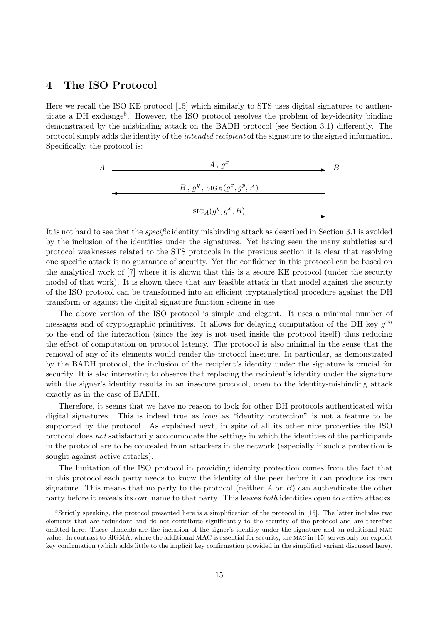### 4 The ISO Protocol

Here we recall the ISO KE protocol [15] which similarly to STS uses digital signatures to authenticate a DH exchange<sup>5</sup>. However, the ISO protocol resolves the problem of key-identity binding demonstrated by the misbinding attack on the BADH protocol (see Section 3.1) differently. The protocol simply adds the identity of the intended recipient of the signature to the signed information. Specifically, the protocol is:



It is not hard to see that the specific identity misbinding attack as described in Section 3.1 is avoided by the inclusion of the identities under the signatures. Yet having seen the many subtleties and protocol weaknesses related to the STS protocols in the previous section it is clear that resolving one specific attack is no guarantee of security. Yet the confidence in this protocol can be based on the analytical work of [7] where it is shown that this is a secure KE protocol (under the security model of that work). It is shown there that any feasible attack in that model against the security of the ISO protocol can be transformed into an efficient cryptanalytical procedure against the DH transform or against the digital signature function scheme in use.

The above version of the ISO protocol is simple and elegant. It uses a minimal number of messages and of cryptographic primitives. It allows for delaying computation of the DH key  $g^{xy}$ to the end of the interaction (since the key is not used inside the protocol itself) thus reducing the effect of computation on protocol latency. The protocol is also minimal in the sense that the removal of any of its elements would render the protocol insecure. In particular, as demonstrated by the BADH protocol, the inclusion of the recipient's identity under the signature is crucial for security. It is also interesting to observe that replacing the recipient's identity under the signature with the signer's identity results in an insecure protocol, open to the identity-misbinding attack exactly as in the case of BADH.

Therefore, it seems that we have no reason to look for other DH protocols authenticated with digital signatures. This is indeed true as long as "identity protection" is not a feature to be supported by the protocol. As explained next, in spite of all its other nice properties the ISO protocol does not satisfactorily accommodate the settings in which the identities of the participants in the protocol are to be concealed from attackers in the network (especially if such a protection is sought against active attacks).

The limitation of the ISO protocol in providing identity protection comes from the fact that in this protocol each party needs to know the identity of the peer before it can produce its own signature. This means that no party to the protocol (neither A or  $B$ ) can authenticate the other party before it reveals its own name to that party. This leaves both identities open to active attacks.

<sup>&</sup>lt;sup>5</sup>Strictly speaking, the protocol presented here is a simplification of the protocol in [15]. The latter includes two elements that are redundant and do not contribute significantly to the security of the protocol and are therefore omitted here. These elements are the inclusion of the signer's identity under the signature and an additional mac value. In contrast to SIGMA, where the additional MAC is essential for security, the mac in [15] serves only for explicit key confirmation (which adds little to the implicit key confirmation provided in the simplified variant discussed here).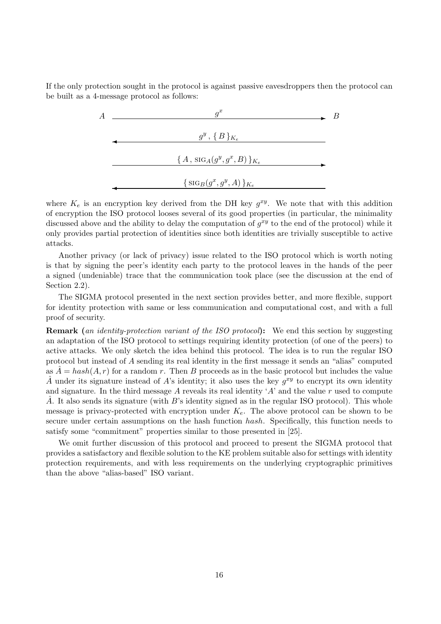If the only protection sought in the protocol is against passive eavesdroppers then the protocol can be built as a 4-message protocol as follows:



where  $K_e$  is an encryption key derived from the DH key  $g^{xy}$ . We note that with this addition of encryption the ISO protocol looses several of its good properties (in particular, the minimality discussed above and the ability to delay the computation of  $g^{xy}$  to the end of the protocol) while it only provides partial protection of identities since both identities are trivially susceptible to active attacks.

Another privacy (or lack of privacy) issue related to the ISO protocol which is worth noting is that by signing the peer's identity each party to the protocol leaves in the hands of the peer a signed (undeniable) trace that the communication took place (see the discussion at the end of Section 2.2).

The SIGMA protocol presented in the next section provides better, and more flexible, support for identity protection with same or less communication and computational cost, and with a full proof of security.

**Remark** (an identity-protection variant of the ISO protocol): We end this section by suggesting an adaptation of the ISO protocol to settings requiring identity protection (of one of the peers) to active attacks. We only sketch the idea behind this protocol. The idea is to run the regular ISO protocol but instead of A sending its real identity in the first message it sends an "alias" computed as  $\hat{A} = hash(A, r)$  for a random r. Then B proceeds as in the basic protocol but includes the value  $\hat{A}$  under its signature instead of A's identity; it also uses the key  $g^{xy}$  to encrypt its own identity and signature. In the third message A reveals its real identity  $A'$  and the value r used to compute  $\hat{A}$ . It also sends its signature (with B's identity signed as in the regular ISO protocol). This whole message is privacy-protected with encryption under  $K_e$ . The above protocol can be shown to be secure under certain assumptions on the hash function hash. Specifically, this function needs to satisfy some "commitment" properties similar to those presented in [25].

We omit further discussion of this protocol and proceed to present the SIGMA protocol that provides a satisfactory and flexible solution to the KE problem suitable also for settings with identity protection requirements, and with less requirements on the underlying cryptographic primitives than the above "alias-based" ISO variant.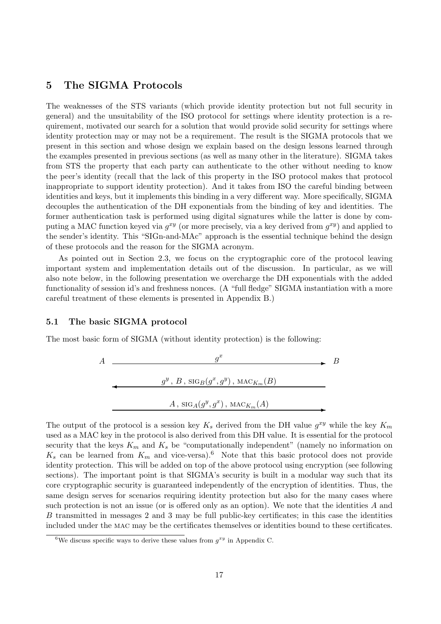### 5 The SIGMA Protocols

The weaknesses of the STS variants (which provide identity protection but not full security in general) and the unsuitability of the ISO protocol for settings where identity protection is a requirement, motivated our search for a solution that would provide solid security for settings where identity protection may or may not be a requirement. The result is the SIGMA protocols that we present in this section and whose design we explain based on the design lessons learned through the examples presented in previous sections (as well as many other in the literature). SIGMA takes from STS the property that each party can authenticate to the other without needing to know the peer's identity (recall that the lack of this property in the ISO protocol makes that protocol inappropriate to support identity protection). And it takes from ISO the careful binding between identities and keys, but it implements this binding in a very different way. More specifically, SIGMA decouples the authentication of the DH exponentials from the binding of key and identities. The former authentication task is performed using digital signatures while the latter is done by computing a MAC function keyed via  $g^{xy}$  (or more precisely, via a key derived from  $g^{xy}$ ) and applied to the sender's identity. This "SIGn-and-MAc" approach is the essential technique behind the design of these protocols and the reason for the SIGMA acronym.

As pointed out in Section 2.3, we focus on the cryptographic core of the protocol leaving important system and implementation details out of the discussion. In particular, as we will also note below, in the following presentation we overcharge the DH exponentials with the added functionality of session id's and freshness nonces. (A "full fledge" SIGMA instantiation with a more careful treatment of these elements is presented in Appendix B.)

#### 5.1 The basic SIGMA protocol

The most basic form of SIGMA (without identity protection) is the following:



The output of the protocol is a session key  $K_s$  derived from the DH value  $g^{xy}$  while the key  $K_m$ used as a MAC key in the protocol is also derived from this DH value. It is essential for the protocol security that the keys  $K_m$  and  $K_s$  be "computationally independent" (namely no information on  $K_s$  can be learned from  $K_m$  and vice-versa).<sup>6</sup> Note that this basic protocol does not provide identity protection. This will be added on top of the above protocol using encryption (see following sections). The important point is that SIGMA's security is built in a modular way such that its core cryptographic security is guaranteed independently of the encryption of identities. Thus, the same design serves for scenarios requiring identity protection but also for the many cases where such protection is not an issue (or is offered only as an option). We note that the identities  $A$  and B transmitted in messages 2 and 3 may be full public-key certificates; in this case the identities included under the mac may be the certificates themselves or identities bound to these certificates.

<sup>&</sup>lt;sup>6</sup>We discuss specific ways to derive these values from  $g^{xy}$  in Appendix C.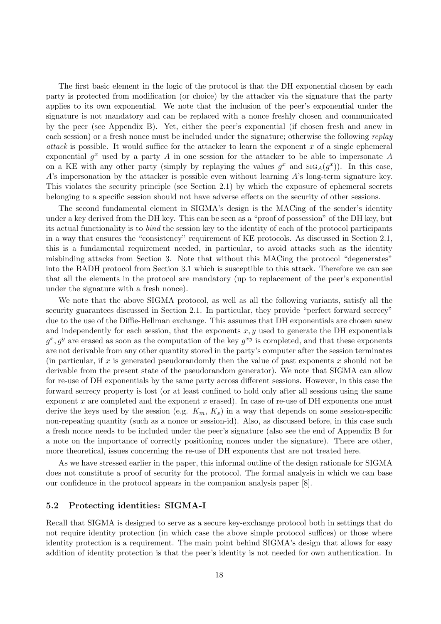The first basic element in the logic of the protocol is that the DH exponential chosen by each party is protected from modification (or choice) by the attacker via the signature that the party applies to its own exponential. We note that the inclusion of the peer's exponential under the signature is not mandatory and can be replaced with a nonce freshly chosen and communicated by the peer (see Appendix B). Yet, either the peer's exponential (if chosen fresh and anew in each session) or a fresh nonce must be included under the signature; otherwise the following replay attack is possible. It would suffice for the attacker to learn the exponent  $x$  of a single ephemeral exponential  $g^x$  used by a party A in one session for the attacker to be able to impersonate A on a KE with any other party (simply by replaying the values  $g^x$  and  $\text{sig}_A(g^x)$ ). In this case, A's impersonation by the attacker is possible even without learning A's long-term signature key. This violates the security principle (see Section 2.1) by which the exposure of ephemeral secrets belonging to a specific session should not have adverse effects on the security of other sessions.

The second fundamental element in SIGMA's design is the MACing of the sender's identity under a key derived from the DH key. This can be seen as a "proof of possession" of the DH key, but its actual functionality is to bind the session key to the identity of each of the protocol participants in a way that ensures the "consistency" requirement of KE protocols. As discussed in Section 2.1, this is a fundamental requirement needed, in particular, to avoid attacks such as the identity misbinding attacks from Section 3. Note that without this MACing the protocol "degenerates" into the BADH protocol from Section 3.1 which is susceptible to this attack. Therefore we can see that all the elements in the protocol are mandatory (up to replacement of the peer's exponential under the signature with a fresh nonce).

We note that the above SIGMA protocol, as well as all the following variants, satisfy all the security guarantees discussed in Section 2.1. In particular, they provide "perfect forward secrecy" due to the use of the Diffie-Hellman exchange. This assumes that DH exponentials are chosen anew and independently for each session, that the exponents  $x, y$  used to generate the DH exponentials  $g^x, g^y$  are erased as soon as the computation of the key  $g^{xy}$  is completed, and that these exponents are not derivable from any other quantity stored in the party's computer after the session terminates (in particular, if x is generated pseudorandomly then the value of past exponents x should not be derivable from the present state of the pseudorandom generator). We note that SIGMA can allow for re-use of DH exponentials by the same party across different sessions. However, in this case the forward secrecy property is lost (or at least confined to hold only after all sessions using the same exponent x are completed and the exponent x erased). In case of re-use of DH exponents one must derive the keys used by the session (e.g.  $K_m$ ,  $K_s$ ) in a way that depends on some session-specific non-repeating quantity (such as a nonce or session-id). Also, as discussed before, in this case such a fresh nonce needs to be included under the peer's signature (also see the end of Appendix B for a note on the importance of correctly positioning nonces under the signature). There are other, more theoretical, issues concerning the re-use of DH exponents that are not treated here.

As we have stressed earlier in the paper, this informal outline of the design rationale for SIGMA does not constitute a proof of security for the protocol. The formal analysis in which we can base our confidence in the protocol appears in the companion analysis paper [8].

### 5.2 Protecting identities: SIGMA-I

Recall that SIGMA is designed to serve as a secure key-exchange protocol both in settings that do not require identity protection (in which case the above simple protocol suffices) or those where identity protection is a requirement. The main point behind SIGMA's design that allows for easy addition of identity protection is that the peer's identity is not needed for own authentication. In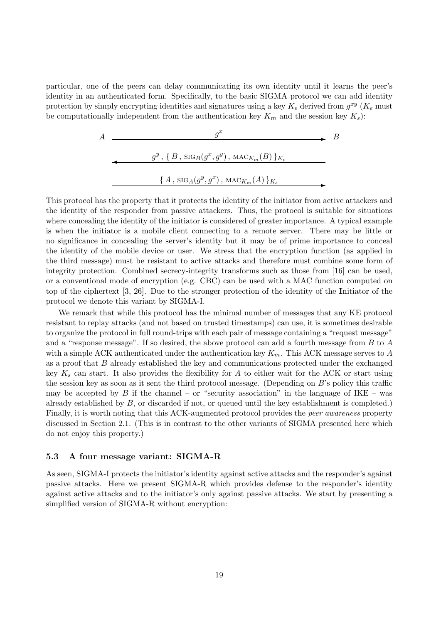particular, one of the peers can delay communicating its own identity until it learns the peer's identity in an authenticated form. Specifically, to the basic SIGMA protocol we can add identity protection by simply encrypting identities and signatures using a key  $K_e$  derived from  $g^{xy}$  ( $K_e$  must be computationally independent from the authentication key  $K_m$  and the session key  $K_s$ ):

|  | $g^{y}$ , {B, SIG <sub>B</sub> $(g^{x}, g^{y})$ , MAC <sub>Km</sub> $(B)$ } <sub>Ke</sub> |  |
|--|-------------------------------------------------------------------------------------------|--|
|  | ${A, \operatorname{SIG}_A(g^y, g^x), \operatorname{MAC}_{K_m}(A)}_{K_e}$                  |  |

This protocol has the property that it protects the identity of the initiator from active attackers and the identity of the responder from passive attackers. Thus, the protocol is suitable for situations where concealing the identity of the initiator is considered of greater importance. A typical example is when the initiator is a mobile client connecting to a remote server. There may be little or no significance in concealing the server's identity but it may be of prime importance to conceal the identity of the mobile device or user. We stress that the encryption function (as applied in the third message) must be resistant to active attacks and therefore must combine some form of integrity protection. Combined secrecy-integrity transforms such as those from [16] can be used, or a conventional mode of encryption (e.g. CBC) can be used with a MAC function computed on top of the ciphertext [3, 26]. Due to the stronger protection of the identity of the Initiator of the protocol we denote this variant by SIGMA-I.

We remark that while this protocol has the minimal number of messages that any KE protocol resistant to replay attacks (and not based on trusted timestamps) can use, it is sometimes desirable to organize the protocol in full round-trips with each pair of message containing a "request message" and a "response message". If so desired, the above protocol can add a fourth message from B to A with a simple ACK authenticated under the authentication key  $K_m$ . This ACK message serves to A as a proof that B already established the key and communications protected under the exchanged key  $K_s$  can start. It also provides the flexibility for A to either wait for the ACK or start using the session key as soon as it sent the third protocol message. (Depending on B's policy this traffic may be accepted by B if the channel – or "security association" in the language of IKE – was already established by  $B$ , or discarded if not, or queued until the key establishment is completed.) Finally, it is worth noting that this ACK-augmented protocol provides the peer awareness property discussed in Section 2.1. (This is in contrast to the other variants of SIGMA presented here which do not enjoy this property.)

#### 5.3 A four message variant: SIGMA-R

As seen, SIGMA-I protects the initiator's identity against active attacks and the responder's against passive attacks. Here we present SIGMA-R which provides defense to the responder's identity against active attacks and to the initiator's only against passive attacks. We start by presenting a simplified version of SIGMA-R without encryption: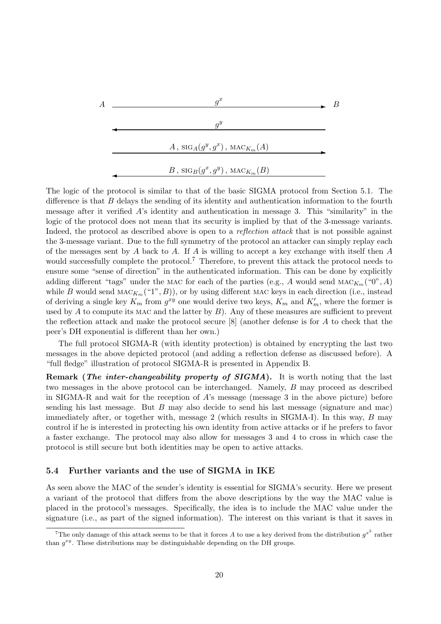

The logic of the protocol is similar to that of the basic SIGMA protocol from Section 5.1. The difference is that B delays the sending of its identity and authentication information to the fourth message after it verified A's identity and authentication in message 3. This "similarity" in the logic of the protocol does not mean that its security is implied by that of the 3-message variants. Indeed, the protocol as described above is open to a *reflection attack* that is not possible against the 3-message variant. Due to the full symmetry of the protocol an attacker can simply replay each of the messages sent by A back to A. If A is willing to accept a key exchange with itself then A would successfully complete the protocol.<sup>7</sup> Therefore, to prevent this attack the protocol needs to ensure some "sense of direction" in the authenticated information. This can be done by explicitly adding different "tags" under the MAC for each of the parties (e.g., A would send  $MAC_{K_m}(°0", A)$ while B would send  $MAC_{K_m}(``1", B))$ , or by using different MAC keys in each direction (i.e., instead of deriving a single key  $K_m$  from  $g^{xy}$  one would derive two keys,  $K_m$  and  $K'_m$ , where the former is used by A to compute its MAC and the latter by  $B$ ). Any of these measures are sufficient to prevent the reflection attack and make the protocol secure [8] (another defense is for A to check that the peer's DH exponential is different than her own.)

The full protocol SIGMA-R (with identity protection) is obtained by encrypting the last two messages in the above depicted protocol (and adding a reflection defense as discussed before). A "full fledge" illustration of protocol SIGMA-R is presented in Appendix B.

Remark (*The inter-changeability property of SIGMA*). It is worth noting that the last two messages in the above protocol can be interchanged. Namely, B may proceed as described in SIGMA-R and wait for the reception of  $A$ 's message (message 3 in the above picture) before sending his last message. But  $B$  may also decide to send his last message (signature and mac) immediately after, or together with, message 2 (which results in SIGMA-I). In this way, B may control if he is interested in protecting his own identity from active attacks or if he prefers to favor a faster exchange. The protocol may also allow for messages 3 and 4 to cross in which case the protocol is still secure but both identities may be open to active attacks.

#### 5.4 Further variants and the use of SIGMA in IKE

As seen above the MAC of the sender's identity is essential for SIGMA's security. Here we present a variant of the protocol that differs from the above descriptions by the way the MAC value is placed in the protocol's messages. Specifically, the idea is to include the MAC value under the signature (i.e., as part of the signed information). The interest on this variant is that it saves in

<sup>&</sup>lt;sup>7</sup>The only damage of this attack seems to be that it forces A to use a key derived from the distribution  $g^{x^2}$  rather than  $g^{xy}$ . These distributions may be distinguishable depending on the DH groups.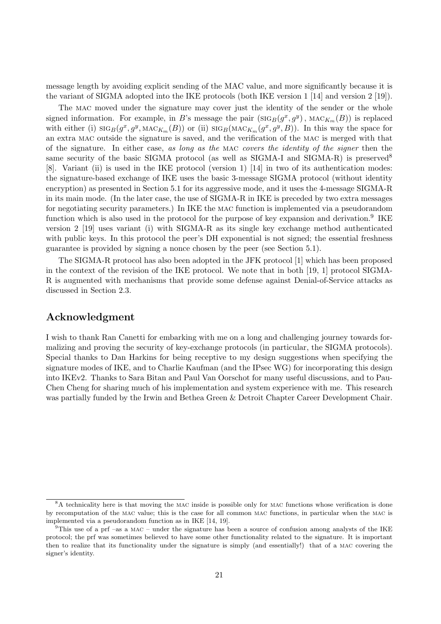message length by avoiding explicit sending of the MAC value, and more significantly because it is the variant of SIGMA adopted into the IKE protocols (both IKE version 1 [14] and version 2 [19]).

The mac moved under the signature may cover just the identity of the sender or the whole signed information. For example, in B's message the pair  $(SIG_B(g^x, g^y), MAC_{K_m}(B))$  is replaced with either (i)  $\text{sig}_B(g^x, g^y, \text{MAC}_{K_m}(B))$  or (ii)  $\text{sig}_B(\text{MAC}_{K_m}(g^x, g^y, B))$ . In this way the space for an extra mac outside the signature is saved, and the verification of the mac is merged with that of the signature. In either case, as long as the mac covers the identity of the signer then the same security of the basic SIGMA protocol (as well as SIGMA-I and SIGMA-R) is preserved<sup>8</sup> [8]. Variant (ii) is used in the IKE protocol (version 1) [14] in two of its authentication modes: the signature-based exchange of IKE uses the basic 3-message SIGMA protocol (without identity encryption) as presented in Section 5.1 for its aggressive mode, and it uses the 4-message SIGMA-R in its main mode. (In the later case, the use of SIGMA-R in IKE is preceded by two extra messages for negotiating security parameters.) In IKE the mac function is implemented via a pseudorandom function which is also used in the protocol for the purpose of key expansion and derivation.<sup>9</sup> IKE version 2 [19] uses variant (i) with SIGMA-R as its single key exchange method authenticated with public keys. In this protocol the peer's DH exponential is not signed; the essential freshness guarantee is provided by signing a nonce chosen by the peer (see Section 5.1).

The SIGMA-R protocol has also been adopted in the JFK protocol [1] which has been proposed in the context of the revision of the IKE protocol. We note that in both [19, 1] protocol SIGMA-R is augmented with mechanisms that provide some defense against Denial-of-Service attacks as discussed in Section 2.3.

### Acknowledgment

I wish to thank Ran Canetti for embarking with me on a long and challenging journey towards formalizing and proving the security of key-exchange protocols (in particular, the SIGMA protocols). Special thanks to Dan Harkins for being receptive to my design suggestions when specifying the signature modes of IKE, and to Charlie Kaufman (and the IPsec WG) for incorporating this design into IKEv2. Thanks to Sara Bitan and Paul Van Oorschot for many useful discussions, and to Pau-Chen Cheng for sharing much of his implementation and system experience with me. This research was partially funded by the Irwin and Bethea Green & Detroit Chapter Career Development Chair.

<sup>&</sup>lt;sup>8</sup>A technicality here is that moving the MAC inside is possible only for MAC functions whose verification is done by recomputation of the mac value; this is the case for all common mac functions, in particular when the mac is implemented via a pseudorandom function as in IKE [14, 19].

 $9$ This use of a prf –as a MAC – under the signature has been a source of confusion among analysts of the IKE protocol; the prf was sometimes believed to have some other functionality related to the signature. It is important then to realize that its functionality under the signature is simply (and essentially!) that of a mac covering the signer's identity.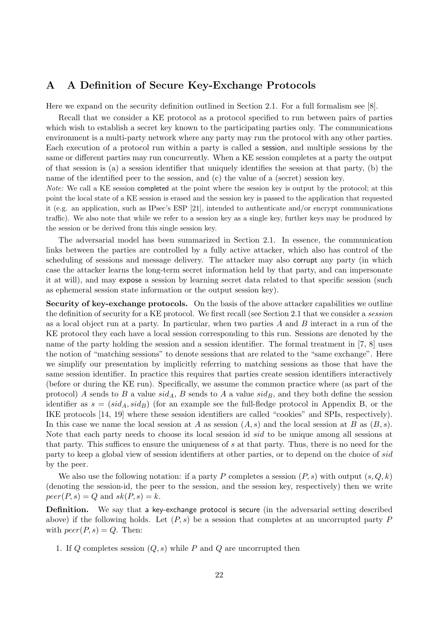### A A Definition of Secure Key-Exchange Protocols

Here we expand on the security definition outlined in Section 2.1. For a full formalism see [8].

Recall that we consider a KE protocol as a protocol specified to run between pairs of parties which wish to establish a secret key known to the participating parties only. The communications environment is a multi-party network where any party may run the protocol with any other parties. Each execution of a protocol run within a party is called a session, and multiple sessions by the same or different parties may run concurrently. When a KE session completes at a party the output of that session is (a) a session identifier that uniquely identifies the session at that party, (b) the name of the identified peer to the session, and (c) the value of a (secret) session key.

Note: We call a KE session completed at the point where the session key is output by the protocol; at this point the local state of a KE session is erased and the session key is passed to the application that requested it (e.g. an application, such as IPsec's ESP [21], intended to authenticate and/or encrypt communications traffic). We also note that while we refer to a session key as a single key, further keys may be produced by the session or be derived from this single session key.

The adversarial model has been summarized in Section 2.1. In essence, the communication links between the parties are controlled by a fully active attacker, which also has control of the scheduling of sessions and message delivery. The attacker may also corrupt any party (in which case the attacker learns the long-term secret information held by that party, and can impersonate it at will), and may expose a session by learning secret data related to that specific session (such as ephemeral session state information or the output session key).

Security of key-exchange protocols. On the basis of the above attacker capabilities we outline the definition of security for a KE protocol. We first recall (see Section 2.1 that we consider a session as a local object run at a party. In particular, when two parties  $A$  and  $B$  interact in a run of the KE protocol they each have a local session corresponding to this run. Sessions are denoted by the name of the party holding the session and a session identifier. The formal treatment in [7, 8] uses the notion of "matching sessions" to denote sessions that are related to the "same exchange". Here we simplify our presentation by implicitly referring to matching sessions as those that have the same session identifier. In practice this requires that parties create session identifiers interactively (before or during the KE run). Specifically, we assume the common practice where (as part of the protocol) A sends to B a value  $sid_A$ , B sends to A a value  $sid_B$ , and they both define the session identifier as  $s = (sid_A, sid_B)$  (for an example see the full-fledge protocol in Appendix B, or the IKE protocols [14, 19] where these session identifiers are called "cookies" and SPIs, respectively). In this case we name the local session at A as session  $(A, s)$  and the local session at B as  $(B, s)$ . Note that each party needs to choose its local session id *sid* to be unique among all sessions at that party. This suffices to ensure the uniqueness of s at that party. Thus, there is no need for the party to keep a global view of session identifiers at other parties, or to depend on the choice of sid by the peer.

We also use the following notation: if a party P completes a session  $(P, s)$  with output  $(s, Q, k)$ (denoting the session-id, the peer to the session, and the session key, respectively) then we write  $peer(P, s) = Q$  and  $sk(P, s) = k$ .

Definition. We say that a key-exchange protocol is secure (in the adversarial setting described above) if the following holds. Let  $(P, s)$  be a session that completes at an uncorrupted party P with  $peer(P, s) = Q$ . Then:

1. If Q completes session  $(Q, s)$  while P and Q are uncorrupted then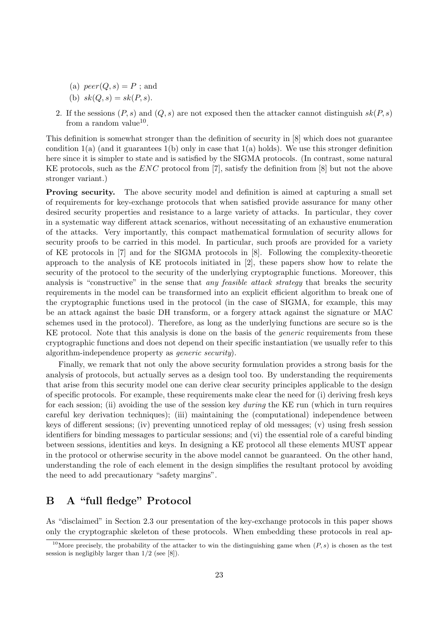- (a)  $peer(Q, s) = P$ ; and
- (b)  $sk(Q, s) = sk(P, s)$ .
- 2. If the sessions  $(P, s)$  and  $(Q, s)$  are not exposed then the attacker cannot distinguish  $sk(P, s)$ from a random value<sup>10</sup>.

This definition is somewhat stronger than the definition of security in [8] which does not guarantee condition  $1(a)$  (and it guarantees  $1(b)$  only in case that  $1(a)$  holds). We use this stronger definition here since it is simpler to state and is satisfied by the SIGMA protocols. (In contrast, some natural KE protocols, such as the ENC protocol from [7], satisfy the definition from [8] but not the above stronger variant.)

Proving security. The above security model and definition is aimed at capturing a small set of requirements for key-exchange protocols that when satisfied provide assurance for many other desired security properties and resistance to a large variety of attacks. In particular, they cover in a systematic way different attack scenarios, without necessitating of an exhaustive enumeration of the attacks. Very importantly, this compact mathematical formulation of security allows for security proofs to be carried in this model. In particular, such proofs are provided for a variety of KE protocols in [7] and for the SIGMA protocols in [8]. Following the complexity-theoretic approach to the analysis of KE protocols initiated in [2], these papers show how to relate the security of the protocol to the security of the underlying cryptographic functions. Moreover, this analysis is "constructive" in the sense that *any feasible attack strategy* that breaks the security requirements in the model can be transformed into an explicit efficient algorithm to break one of the cryptographic functions used in the protocol (in the case of SIGMA, for example, this may be an attack against the basic DH transform, or a forgery attack against the signature or MAC schemes used in the protocol). Therefore, as long as the underlying functions are secure so is the KE protocol. Note that this analysis is done on the basis of the *generic* requirements from these cryptographic functions and does not depend on their specific instantiation (we usually refer to this algorithm-independence property as generic security).

Finally, we remark that not only the above security formulation provides a strong basis for the analysis of protocols, but actually serves as a design tool too. By understanding the requirements that arise from this security model one can derive clear security principles applicable to the design of specific protocols. For example, these requirements make clear the need for (i) deriving fresh keys for each session; (ii) avoiding the use of the session key during the KE run (which in turn requires careful key derivation techniques); (iii) maintaining the (computational) independence between keys of different sessions; (iv) preventing unnoticed replay of old messages; (v) using fresh session identifiers for binding messages to particular sessions; and (vi) the essential role of a careful binding between sessions, identities and keys. In designing a KE protocol all these elements MUST appear in the protocol or otherwise security in the above model cannot be guaranteed. On the other hand, understanding the role of each element in the design simplifies the resultant protocol by avoiding the need to add precautionary "safety margins".

### B A "full fledge" Protocol

As "disclaimed" in Section 2.3 our presentation of the key-exchange protocols in this paper shows only the cryptographic skeleton of these protocols. When embedding these protocols in real ap-

<sup>&</sup>lt;sup>10</sup>More precisely, the probability of the attacker to win the distinguishing game when  $(P, s)$  is chosen as the test session is negligibly larger than 1/2 (see [8]).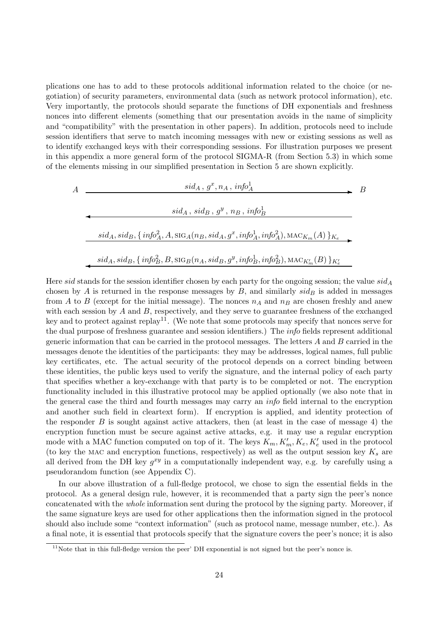plications one has to add to these protocols additional information related to the choice (or negotiation) of security parameters, environmental data (such as network protocol information), etc. Very importantly, the protocols should separate the functions of DH exponentials and freshness nonces into different elements (something that our presentation avoids in the name of simplicity and "compatibility" with the presentation in other papers). In addition, protocols need to include session identifiers that serve to match incoming messages with new or existing sessions as well as to identify exchanged keys with their corresponding sessions. For illustration purposes we present in this appendix a more general form of the protocol SIGMA-R (from Section 5.3) in which some of the elements missing in our simplified presentation in Section 5 are shown explicitly.

$$
A \longrightarrow \text{sid}_{A}, g^{x}, n_{A}, \text{info}_{A}^{1}
$$
\n
$$
sid_{A}, sid_{B}, g^{y}, n_{B}, \text{info}_{B}^{1}
$$
\n
$$
sid_{A}, sid_{B}, \{\text{info}_{A}^{2}, A, \text{SIG}_{A}(n_{B}, \text{sid}_{A}, g^{x}, \text{info}_{A}^{1}, \text{info}_{A}^{2}), \text{MAC}_{K_{m}}(A)\}_{K_{e}}
$$
\n
$$
sid_{A}, sid_{B}, \{\text{info}_{B}^{2}, B, \text{SIG}_{B}(n_{A}, \text{sid}_{B}, g^{y}, \text{info}_{B}^{1}, \text{info}_{B}^{2}), \text{MAC}_{K_{m}'}(B)\}_{K'_{e}}
$$

Here sid stands for the session identifier chosen by each party for the ongoing session; the value  $sid_A$ chosen by A is returned in the response messages by  $B$ , and similarly  $sid_B$  is added in messages from A to B (except for the initial message). The nonces  $n_A$  and  $n_B$  are chosen freshly and anew with each session by  $A$  and  $B$ , respectively, and they serve to guarantee freshness of the exchanged key and to protect against replay<sup>11</sup>. (We note that some protocols may specify that nonces serve for the dual purpose of freshness guarantee and session identifiers.) The info fields represent additional generic information that can be carried in the protocol messages. The letters  $A$  and  $B$  carried in the messages denote the identities of the participants: they may be addresses, logical names, full public key certificates, etc. The actual security of the protocol depends on a correct binding between these identities, the public keys used to verify the signature, and the internal policy of each party that specifies whether a key-exchange with that party is to be completed or not. The encryption functionality included in this illustrative protocol may be applied optionally (we also note that in the general case the third and fourth messages may carry an info field internal to the encryption and another such field in cleartext form). If encryption is applied, and identity protection of the responder  $B$  is sought against active attackers, then (at least in the case of message 4) the encryption function must be secure against active attacks, e.g. it may use a regular encryption mode with a MAC function computed on top of it. The keys  $K_m, K'_m, K_e, K'_e$  used in the protocol (to key the MAC and encryption functions, respectively) as well as the output session key  $K_s$  are all derived from the DH key  $g^{xy}$  in a computationally independent way, e.g. by carefully using a pseudorandom function (see Appendix C).

In our above illustration of a full-fledge protocol, we chose to sign the essential fields in the protocol. As a general design rule, however, it is recommended that a party sign the peer's nonce concatenated with the whole information sent during the protocol by the signing party. Moreover, if the same signature keys are used for other applications then the information signed in the protocol should also include some "context information" (such as protocol name, message number, etc.). As a final note, it is essential that protocols specify that the signature covers the peer's nonce; it is also

 $11$ Note that in this full-fledge version the peer' DH exponential is not signed but the peer's nonce is.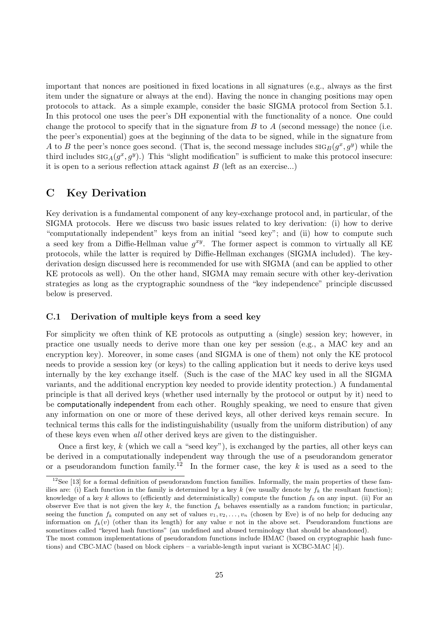important that nonces are positioned in fixed locations in all signatures (e.g., always as the first item under the signature or always at the end). Having the nonce in changing positions may open protocols to attack. As a simple example, consider the basic SIGMA protocol from Section 5.1. In this protocol one uses the peer's DH exponential with the functionality of a nonce. One could change the protocol to specify that in the signature from  $B$  to  $A$  (second message) the nonce (i.e. the peer's exponential) goes at the beginning of the data to be signed, while in the signature from A to B the peer's nonce goes second. (That is, the second message includes  $\text{sig}_B(g^x, g^y)$  while the third includes  $\text{sig}_A(g^x, g^y)$ .) This "slight modification" is sufficient to make this protocol insecure: it is open to a serious reflection attack against  $B$  (left as an exercise...)

### C Key Derivation

Key derivation is a fundamental component of any key-exchange protocol and, in particular, of the SIGMA protocols. Here we discuss two basic issues related to key derivation: (i) how to derive "computationally independent" keys from an initial "seed key"; and (ii) how to compute such a seed key from a Diffie-Hellman value  $g^{xy}$ . The former aspect is common to virtually all KE protocols, while the latter is required by Diffie-Hellman exchanges (SIGMA included). The keyderivation design discussed here is recommended for use with SIGMA (and can be applied to other KE protocols as well). On the other hand, SIGMA may remain secure with other key-derivation strategies as long as the cryptographic soundness of the "key independence" principle discussed below is preserved.

### C.1 Derivation of multiple keys from a seed key

For simplicity we often think of KE protocols as outputting a (single) session key; however, in practice one usually needs to derive more than one key per session (e.g., a MAC key and an encryption key). Moreover, in some cases (and SIGMA is one of them) not only the KE protocol needs to provide a session key (or keys) to the calling application but it needs to derive keys used internally by the key exchange itself. (Such is the case of the MAC key used in all the SIGMA variants, and the additional encryption key needed to provide identity protection.) A fundamental principle is that all derived keys (whether used internally by the protocol or output by it) need to be computationally independent from each other. Roughly speaking, we need to ensure that given any information on one or more of these derived keys, all other derived keys remain secure. In technical terms this calls for the indistinguishability (usually from the uniform distribution) of any of these keys even when all other derived keys are given to the distinguisher.

Once a first key,  $k$  (which we call a "seed key"), is exchanged by the parties, all other keys can be derived in a computationally independent way through the use of a pseudorandom generator or a pseudorandom function family.<sup>12</sup> In the former case, the key k is used as a seed to the

 $12$ See [13] for a formal definition of pseudorandom function families. Informally, the main properties of these families are: (i) Each function in the family is determined by a key k (we usually denote by  $f_k$  the resultant function); knowledge of a key k allows to (efficiently and deterministically) compute the function  $f_k$  on any input. (ii) For an observer Eve that is not given the key k, the function  $f_k$  behaves essentially as a random function; in particular, seeing the function  $f_k$  computed on any set of values  $v_1, v_2, \ldots, v_n$  (chosen by Eve) is of no help for deducing any information on  $f_k(v)$  (other than its length) for any value v not in the above set. Pseudorandom functions are sometimes called "keyed hash functions" (an undefined and abused terminology that should be abandoned). The most common implementations of pseudorandom functions include HMAC (based on cryptographic hash func-

tions) and CBC-MAC (based on block ciphers – a variable-length input variant is XCBC-MAC [4]).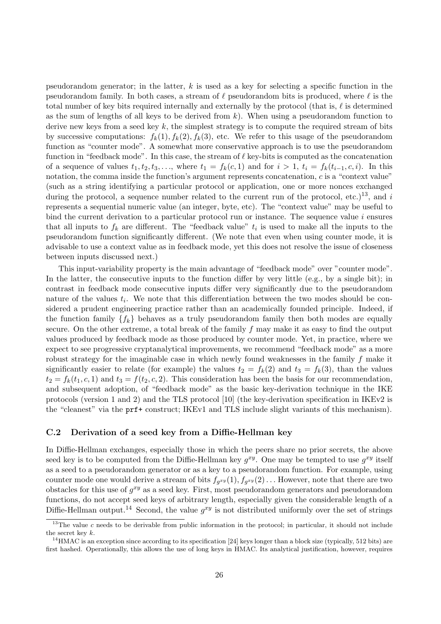pseudorandom generator; in the latter,  $k$  is used as a key for selecting a specific function in the pseudorandom family. In both cases, a stream of  $\ell$  pseudorandom bits is produced, where  $\ell$  is the total number of key bits required internally and externally by the protocol (that is,  $\ell$  is determined as the sum of lengths of all keys to be derived from  $k$ ). When using a pseudorandom function to derive new keys from a seed key  $k$ , the simplest strategy is to compute the required stream of bits by successive computations:  $f_k(1)$ ,  $f_k(2)$ ,  $f_k(3)$ , etc. We refer to this usage of the pseudorandom function as "counter mode". A somewhat more conservative approach is to use the pseudorandom function in "feedback mode". In this case, the stream of  $\ell$  key-bits is computed as the concatenation of a sequence of values  $t_1, t_2, t_3, \ldots$ , where  $t_1 = f_k(c, 1)$  and for  $i > 1$ ,  $t_i = f_k(t_{i-1}, c, i)$ . In this notation, the comma inside the function's argument represents concatenation, c is a "context value" (such as a string identifying a particular protocol or application, one or more nonces exchanged during the protocol, a sequence number related to the current run of the protocol, etc.)<sup>13</sup>, and i represents a sequential numeric value (an integer, byte, etc). The "context value" may be useful to bind the current derivation to a particular protocol run or instance. The sequence value  $i$  ensures that all inputs to  $f_k$  are different. The "feedback value"  $t_i$  is used to make all the inputs to the pseudorandom function significantly different. (We note that even when using counter mode, it is advisable to use a context value as in feedback mode, yet this does not resolve the issue of closeness between inputs discussed next.)

This input-variability property is the main advantage of "feedback mode" over "counter mode". In the latter, the consecutive inputs to the function differ by very little (e.g., by a single bit); in contrast in feedback mode consecutive inputs differ very significantly due to the pseudorandom nature of the values  $t_i$ . We note that this differentiation between the two modes should be considered a prudent engineering practice rather than an academically founded principle. Indeed, if the function family  $\{f_k\}$  behaves as a truly pseudorandom family then both modes are equally secure. On the other extreme, a total break of the family  $f$  may make it as easy to find the output values produced by feedback mode as those produced by counter mode. Yet, in practice, where we expect to see progressive cryptanalytical improvements, we recommend "feedback mode" as a more robust strategy for the imaginable case in which newly found weaknesses in the family f make it significantly easier to relate (for example) the values  $t_2 = f_k(2)$  and  $t_3 = f_k(3)$ , than the values  $t_2 = f_k(t_1, c, 1)$  and  $t_3 = f(t_2, c, 2)$ . This consideration has been the basis for our recommendation, and subsequent adoption, of "feedback mode" as the basic key-derivation technique in the IKE protocols (version 1 and 2) and the TLS protocol [10] (the key-derivation specification in IKEv2 is the "cleanest" via the prf+ construct; IKEv1 and TLS include slight variants of this mechanism).

#### C.2 Derivation of a seed key from a Diffie-Hellman key

In Diffie-Hellman exchanges, especially those in which the peers share no prior secrets, the above seed key is to be computed from the Diffie-Hellman key  $g^{xy}$ . One may be tempted to use  $g^{xy}$  itself as a seed to a pseudorandom generator or as a key to a pseudorandom function. For example, using counter mode one would derive a stream of bits  $f_{g^{xy}}(1), f_{g^{xy}}(2) \dots$  However, note that there are two obstacles for this use of  $g^{xy}$  as a seed key. First, most pseudorandom generators and pseudorandom functions, do not accept seed keys of arbitrary length, especially given the considerable length of a Diffie-Hellman output.<sup>14</sup> Second, the value  $g^{xy}$  is not distributed uniformly over the set of strings

 $13$ The value c needs to be derivable from public information in the protocol; in particular, it should not include the secret key  $k$ .

 $14$ HMAC is an exception since according to its specification [24] keys longer than a block size (typically, 512 bits) are first hashed. Operationally, this allows the use of long keys in HMAC. Its analytical justification, however, requires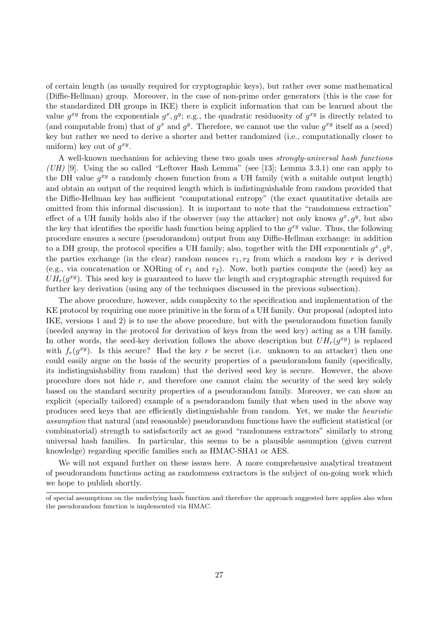of certain length (as usually required for cryptographic keys), but rather over some mathematical (Diffie-Hellman) group. Moreover, in the case of non-prime order generators (this is the case for the standardized DH groups in IKE) there is explicit information that can be learned about the value  $g^{xy}$  from the exponentials  $g^x, g^y$ ; e.g., the quadratic residuosity of  $g^{xy}$  is directly related to (and computable from) that of  $g^x$  and  $g^y$ . Therefore, we cannot use the value  $g^{xy}$  itself as a (seed) key but rather we need to derive a shorter and better randomized (i.e., computationally closer to uniform) key out of  $g^{xy}$ .

A well-known mechanism for achieving these two goals uses strongly-universal hash functions  $(UH)$  [9]. Using the so called "Leftover Hash Lemma" (see [13]; Lemma 3.3.1) one can apply to the DH value  $g^{xy}$  a randomly chosen function from a UH family (with a suitable output length) and obtain an output of the required length which is indistinguishable from random provided that the Diffie-Hellman key has sufficient "computational entropy" (the exact quantitative details are omitted from this informal discussion). It is important to note that the "randomness extraction" effect of a UH family holds also if the observer (say the attacker) not only knows  $g^x, g^y$ , but also the key that identifies the specific hash function being applied to the  $g^{xy}$  value. Thus, the following procedure ensures a secure (pseudorandom) output from any Diffie-Hellman exchange: in addition to a DH group, the protocol specifies a UH family; also, together with the DH exponentials  $g^x, g^y$ , the parties exchange (in the clear) random nonces  $r_1, r_2$  from which a random key r is derived (e.g., via concatenation or XORing of  $r_1$  and  $r_2$ ). Now, both parties compute the (seed) key as  $U H_r(g^{xy})$ . This seed key is guaranteed to have the length and cryptographic strength required for further key derivation (using any of the techniques discussed in the previous subsection).

The above procedure, however, adds complexity to the specification and implementation of the KE protocol by requiring one more primitive in the form of a UH family. Our proposal (adopted into IKE, versions 1 and 2) is to use the above procedure, but with the pseudorandom function family (needed anyway in the protocol for derivation of keys from the seed key) acting as a UH family. In other words, the seed-key derivation follows the above description but  $U H_r(g^{xy})$  is replaced with  $f_r(g^{xy})$ . Is this secure? Had the key r be secret (i.e. unknown to an attacker) then one could easily argue on the basis of the security properties of a pseudorandom family (specifically, its indistinguishability from random) that the derived seed key is secure. However, the above procedure does not hide  $r$ , and therefore one cannot claim the security of the seed key solely based on the standard security properties of a pseudorandom family. Moreover, we can show an explicit (specially tailored) example of a pseudorandom family that when used in the above way produces seed keys that are efficiently distinguishable from random. Yet, we make the heuristic assumption that natural (and reasonable) pseudorandom functions have the sufficient statistical (or combinatorial) strength to satisfactorily act as good "randomness extractors" similarly to strong universal hash families. In particular, this seems to be a plausible assumption (given current knowledge) regarding specific families such as HMAC-SHA1 or AES.

We will not expand further on these issues here. A more comprehensive analytical treatment of pseudorandom functions acting as randomness extractors is the subject of on-going work which we hope to publish shortly.

of special assumptions on the underlying hash function and therefore the approach suggested here applies also when the pseudorandom function is implemented via HMAC.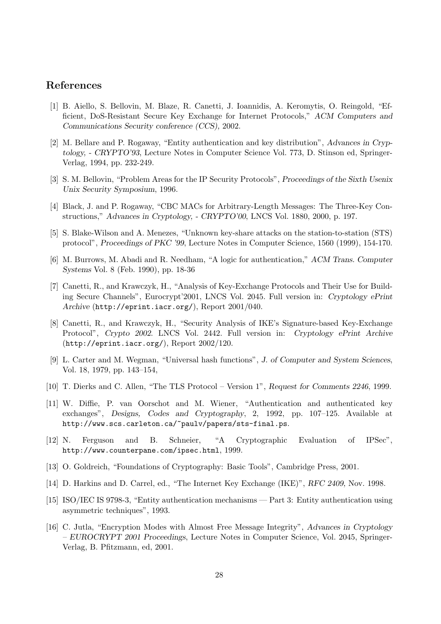### References

- [1] B. Aiello, S. Bellovin, M. Blaze, R. Canetti, J. Ioannidis, A. Keromytis, O. Reingold, "Efficient, DoS-Resistant Secure Key Exchange for Internet Protocols," ACM Computers and Communications Security conference (CCS), 2002.
- [2] M. Bellare and P. Rogaway, "Entity authentication and key distribution", Advances in Cryptology, - CRYPTO'93, Lecture Notes in Computer Science Vol. 773, D. Stinson ed, Springer-Verlag, 1994, pp. 232-249.
- [3] S. M. Bellovin, "Problem Areas for the IP Security Protocols", Proceedings of the Sixth Usenix Unix Security Symposium, 1996.
- [4] Black, J. and P. Rogaway, "CBC MACs for Arbitrary-Length Messages: The Three-Key Constructions," Advances in Cryptology, - CRYPTO'00, LNCS Vol. 1880, 2000, p. 197.
- [5] S. Blake-Wilson and A. Menezes, "Unknown key-share attacks on the station-to-station (STS) protocol", Proceedings of PKC '99, Lecture Notes in Computer Science, 1560 (1999), 154-170.
- [6] M. Burrows, M. Abadi and R. Needham, "A logic for authentication," ACM Trans. Computer Systems Vol. 8 (Feb. 1990), pp. 18-36
- [7] Canetti, R., and Krawczyk, H., "Analysis of Key-Exchange Protocols and Their Use for Building Secure Channels", Eurocrypt'2001, LNCS Vol. 2045. Full version in: Cryptology ePrint Archive (http://eprint.iacr.org/), Report 2001/040.
- [8] Canetti, R., and Krawczyk, H., "Security Analysis of IKE's Signature-based Key-Exchange Protocol", Crypto 2002. LNCS Vol. 2442. Full version in: Cryptology ePrint Archive (http://eprint.iacr.org/), Report 2002/120.
- [9] L. Carter and M. Wegman, "Universal hash functions", J. of Computer and System Sciences, Vol. 18, 1979, pp. 143–154,
- [10] T. Dierks and C. Allen, "The TLS Protocol Version 1", Request for Comments 2246, 1999.
- [11] W. Diffie, P. van Oorschot and M. Wiener, "Authentication and authenticated key exchanges", Designs, Codes and Cryptography, 2, 1992, pp. 107–125. Available at http://www.scs.carleton.ca/~paulv/papers/sts-final.ps.
- [12] N. Ferguson and B. Schneier, "A Cryptographic Evaluation of IPSec", http://www.counterpane.com/ipsec.html, 1999.
- [13] O. Goldreich, "Foundations of Cryptography: Basic Tools", Cambridge Press, 2001.
- [14] D. Harkins and D. Carrel, ed., "The Internet Key Exchange (IKE)", RFC 2409, Nov. 1998.
- [15] ISO/IEC IS 9798-3, "Entity authentication mechanisms Part 3: Entity authentication using asymmetric techniques", 1993.
- [16] C. Jutla, "Encryption Modes with Almost Free Message Integrity", Advances in Cryptology – EUROCRYPT 2001 Proceedings, Lecture Notes in Computer Science, Vol. 2045, Springer-Verlag, B. Pfitzmann, ed, 2001.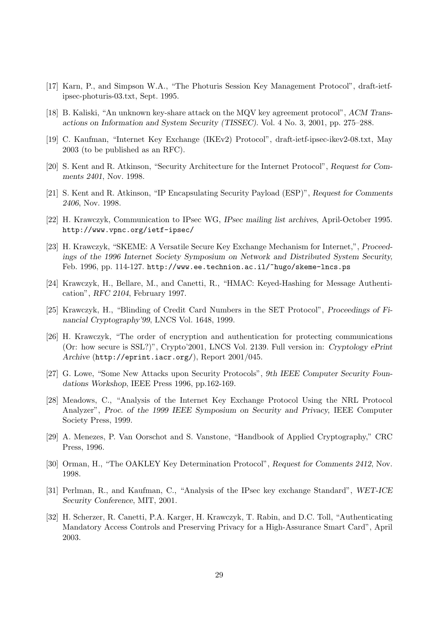- [17] Karn, P., and Simpson W.A., "The Photuris Session Key Management Protocol", draft-ietfipsec-photuris-03.txt, Sept. 1995.
- [18] B. Kaliski, "An unknown key-share attack on the MQV key agreement protocol", ACM Transactions on Information and System Security (TISSEC). Vol. 4 No. 3, 2001, pp. 275–288.
- [19] C. Kaufman, "Internet Key Exchange (IKEv2) Protocol", draft-ietf-ipsec-ikev2-08.txt, May 2003 (to be published as an RFC).
- [20] S. Kent and R. Atkinson, "Security Architecture for the Internet Protocol", Request for Comments 2401, Nov. 1998.
- [21] S. Kent and R. Atkinson, "IP Encapsulating Security Payload (ESP)", Request for Comments 2406, Nov. 1998.
- [22] H. Krawczyk, Communication to IPsec WG, IPsec mailing list archives, April-October 1995. http://www.vpnc.org/ietf-ipsec/
- [23] H. Krawczyk, "SKEME: A Versatile Secure Key Exchange Mechanism for Internet,", Proceedings of the 1996 Internet Society Symposium on Network and Distributed System Security, Feb. 1996, pp. 114-127. http://www.ee.technion.ac.il/~hugo/skeme-lncs.ps
- [24] Krawczyk, H., Bellare, M., and Canetti, R., "HMAC: Keyed-Hashing for Message Authentication", RFC 2104, February 1997.
- [25] Krawczyk, H., "Blinding of Credit Card Numbers in the SET Protocol", Proceedings of Financial Cryptography'99, LNCS Vol. 1648, 1999.
- [26] H. Krawczyk, "The order of encryption and authentication for protecting communications (Or: how secure is SSL?)", Crypto'2001, LNCS Vol. 2139. Full version in: Cryptology ePrint Archive (http://eprint.iacr.org/), Report 2001/045.
- [27] G. Lowe, "Some New Attacks upon Security Protocols", 9th IEEE Computer Security Foundations Workshop, IEEE Press 1996, pp.162-169.
- [28] Meadows, C., "Analysis of the Internet Key Exchange Protocol Using the NRL Protocol Analyzer", Proc. of the 1999 IEEE Symposium on Security and Privacy, IEEE Computer Society Press, 1999.
- [29] A. Menezes, P. Van Oorschot and S. Vanstone, "Handbook of Applied Cryptography," CRC Press, 1996.
- [30] Orman, H., "The OAKLEY Key Determination Protocol", Request for Comments 2412, Nov. 1998.
- [31] Perlman, R., and Kaufman, C., "Analysis of the IPsec key exchange Standard", WET-ICE Security Conference, MIT, 2001.
- [32] H. Scherzer, R. Canetti, P.A. Karger, H. Krawczyk, T. Rabin, and D.C. Toll, "Authenticating Mandatory Access Controls and Preserving Privacy for a High-Assurance Smart Card", April 2003.